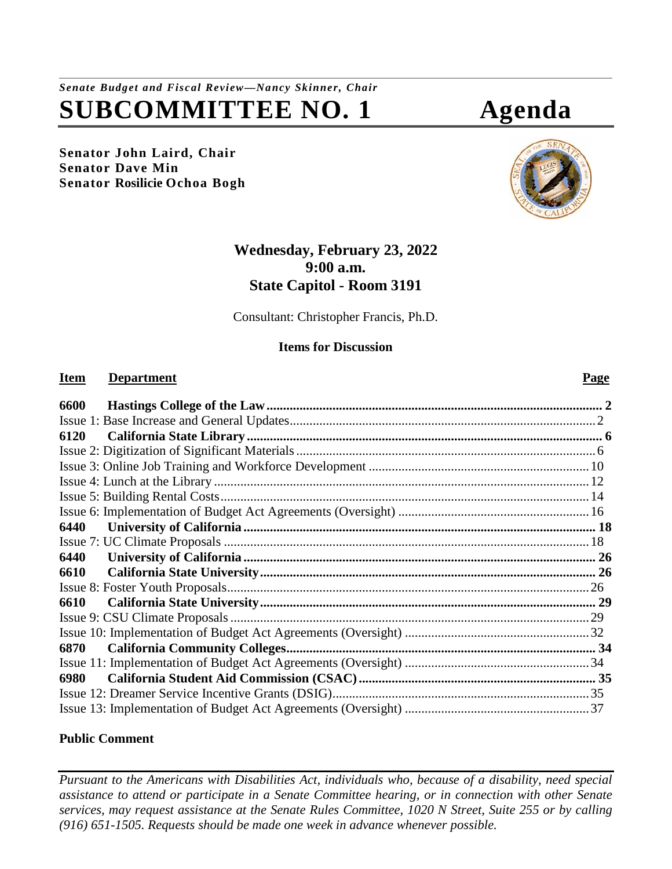*Senate Budget and Fiscal Review—Nancy Skinner, Chair* **SUBCOMMITTEE NO. 1 Agenda**

**Senator John Laird, Chair Senator Dave Min Senator Rosilicie Ochoa Bogh**

# **Wednesday, February 23, 2022 9:00 a.m. State Capitol - Room 3191**

Consultant: Christopher Francis, Ph.D.

## **Items for Discussion**

## **Item Department Page**

| 6600 |  |
|------|--|
|      |  |
| 6120 |  |
|      |  |
|      |  |
|      |  |
|      |  |
|      |  |
| 6440 |  |
|      |  |
| 6440 |  |
| 6610 |  |
|      |  |
| 6610 |  |
|      |  |
|      |  |
| 6870 |  |
|      |  |
| 6980 |  |
|      |  |
|      |  |

## **Public Comment**

*Pursuant to the Americans with Disabilities Act, individuals who, because of a disability, need special assistance to attend or participate in a Senate Committee hearing, or in connection with other Senate services, may request assistance at the Senate Rules Committee, 1020 N Street, Suite 255 or by calling (916) 651-1505. Requests should be made one week in advance whenever possible.*

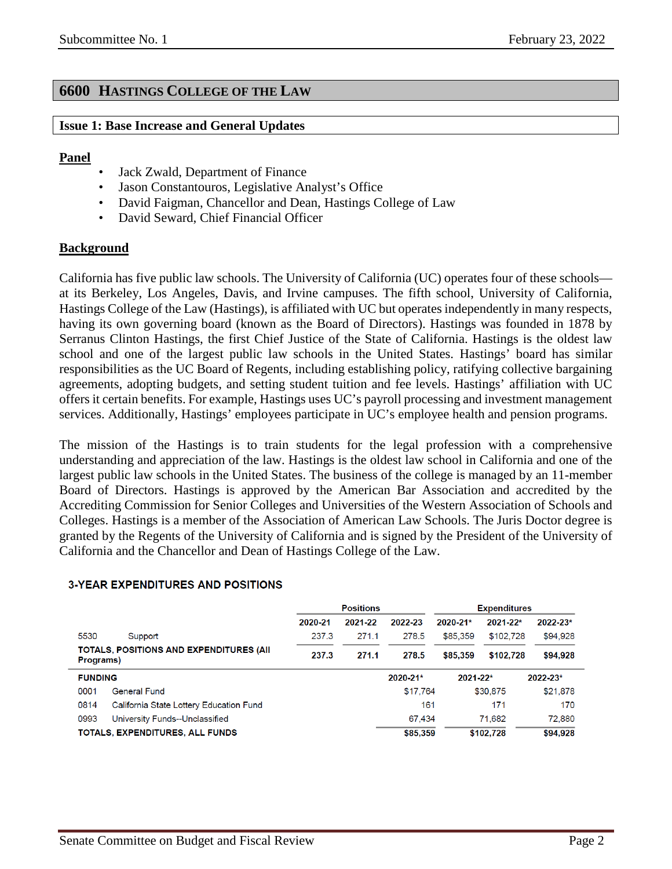## <span id="page-1-0"></span>**6600 HASTINGS COLLEGE OF THE LAW**

#### <span id="page-1-1"></span>**Issue 1: Base Increase and General Updates**

#### **Panel**

- Jack Zwald, Department of Finance
- Jason Constantouros, Legislative Analyst's Office
- David Faigman, Chancellor and Dean, Hastings College of Law
- David Seward, Chief Financial Officer

## **Background**

California has five public law schools. The University of California (UC) operates four of these schools at its Berkeley, Los Angeles, Davis, and Irvine campuses. The fifth school, University of California, Hastings College of the Law (Hastings), is affiliated with UC but operates independently in many respects, having its own governing board (known as the Board of Directors). Hastings was founded in 1878 by Serranus Clinton Hastings, the first Chief Justice of the State of California. Hastings is the oldest law school and one of the largest public law schools in the United States. Hastings' board has similar responsibilities as the UC Board of Regents, including establishing policy, ratifying collective bargaining agreements, adopting budgets, and setting student tuition and fee levels. Hastings' affiliation with UC offers it certain benefits. For example, Hastings uses UC's payroll processing and investment management services. Additionally, Hastings' employees participate in UC's employee health and pension programs.

The mission of the Hastings is to train students for the legal profession with a comprehensive understanding and appreciation of the law. Hastings is the oldest law school in California and one of the largest public law schools in the United States. The business of the college is managed by an 11-member Board of Directors. Hastings is approved by the American Bar Association and accredited by the Accrediting Commission for Senior Colleges and Universities of the Western Association of Schools and Colleges. Hastings is a member of the Association of American Law Schools. The Juris Doctor degree is granted by the Regents of the University of California and is signed by the President of the University of California and the Chancellor and Dean of Hastings College of the Law.

|                |                                                 | <b>Positions</b> |         |          |              | <b>Expenditures</b> |          |
|----------------|-------------------------------------------------|------------------|---------|----------|--------------|---------------------|----------|
|                |                                                 | 2020-21          | 2021-22 | 2022-23  | $2020 - 21*$ | $2021 - 22*$        | 2022-23* |
| 5530           | Support                                         | 237.3            | 271.1   | 278.5    | \$85,359     | \$102,728           | \$94,928 |
| Programs)      | <b>TOTALS, POSITIONS AND EXPENDITURES (AII)</b> | 237.3            | 271.1   | 278.5    | \$85,359     | \$102,728           | \$94,928 |
| <b>FUNDING</b> |                                                 |                  |         | 2020-21* | 2021-22*     |                     | 2022-23* |
| 0001           | <b>General Fund</b>                             |                  |         | \$17,764 |              | \$30,875            | \$21,878 |
| 0814           | California State Lottery Education Fund         |                  |         | 161      |              | 171                 | 170      |
| 0993           | University Funds--Unclassified                  |                  |         | 67.434   |              | 71.682              | 72.880   |
|                | <b>TOTALS, EXPENDITURES, ALL FUNDS</b>          |                  |         | \$85.359 |              | \$102,728           | \$94,928 |

#### **3-YEAR EXPENDITURES AND POSITIONS**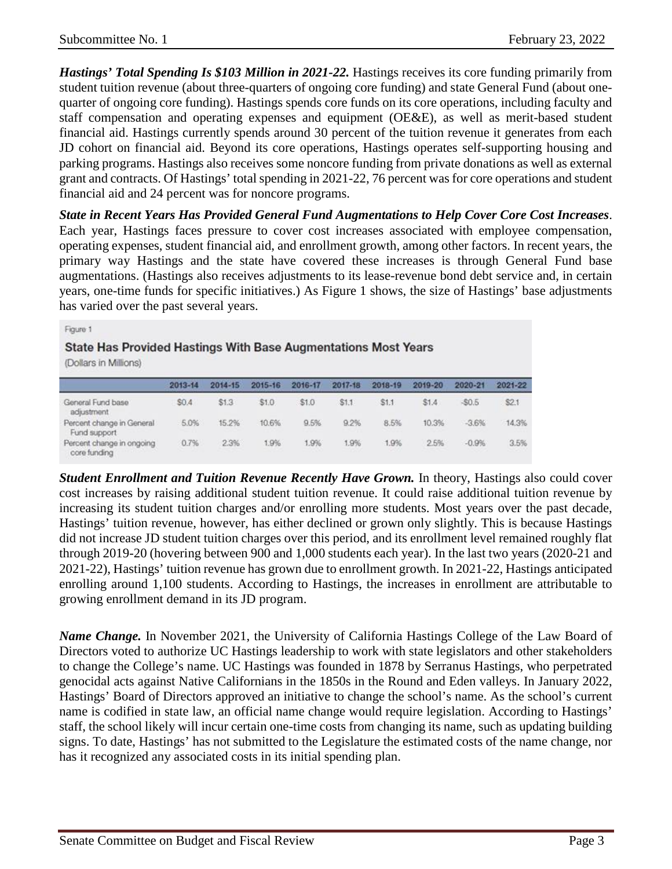*Hastings' Total Spending Is \$103 Million in 2021-22.* Hastings receives its core funding primarily from student tuition revenue (about three-quarters of ongoing core funding) and state General Fund (about onequarter of ongoing core funding). Hastings spends core funds on its core operations, including faculty and staff compensation and operating expenses and equipment (OE&E), as well as merit-based student financial aid. Hastings currently spends around 30 percent of the tuition revenue it generates from each JD cohort on financial aid. Beyond its core operations, Hastings operates self-supporting housing and parking programs. Hastings also receives some noncore funding from private donations as well as external grant and contracts. Of Hastings' total spending in 2021-22, 76 percent was for core operations and student financial aid and 24 percent was for noncore programs.

*State in Recent Years Has Provided General Fund Augmentations to Help Cover Core Cost Increases*. Each year, Hastings faces pressure to cover cost increases associated with employee compensation, operating expenses, student financial aid, and enrollment growth, among other factors. In recent years, the primary way Hastings and the state have covered these increases is through General Fund base augmentations. (Hastings also receives adjustments to its lease-revenue bond debt service and, in certain years, one-time funds for specific initiatives.) As Figure 1 shows, the size of Hastings' base adjustments has varied over the past several years.

| Figure 1<br>State Has Provided Hastings With Base Augmentations Most Years<br>(Dollars in Millions) |         |         |         |         |         |         |         |         |         |
|-----------------------------------------------------------------------------------------------------|---------|---------|---------|---------|---------|---------|---------|---------|---------|
|                                                                                                     | 2013-14 | 2014-15 | 2015-16 | 2016-17 | 2017-18 | 2018-19 | 2019-20 | 2020-21 | 2021-22 |
| General Fund base<br>adjustment                                                                     | \$0.4   | \$1.3   | \$1.0   | \$1.0   | \$1.1   | \$1.1   | \$1.4   | $-50.5$ | \$2.1   |
| Percent change in General<br>Fund support                                                           | 5.0%    | 15.2%   | 10.6%   | 9.5%    | 9.2%    | 8.5%    | 10.3%   | $-3.6%$ | 14.3%   |
| Percent change in ongoing<br>core funding                                                           | 0.7%    | 2.3%    | 1.9%    | 1.9%    | 1.9%    | 1.9%    | 2.5%    | $-0.9%$ | 3.5%    |

*Student Enrollment and Tuition Revenue Recently Have Grown.* In theory, Hastings also could cover cost increases by raising additional student tuition revenue. It could raise additional tuition revenue by increasing its student tuition charges and/or enrolling more students. Most years over the past decade, Hastings' tuition revenue, however, has either declined or grown only slightly. This is because Hastings did not increase JD student tuition charges over this period, and its enrollment level remained roughly flat through 2019-20 (hovering between 900 and 1,000 students each year). In the last two years (2020-21 and 2021-22), Hastings' tuition revenue has grown due to enrollment growth. In 2021-22, Hastings anticipated enrolling around 1,100 students. According to Hastings, the increases in enrollment are attributable to growing enrollment demand in its JD program.

*Name Change.* In November 2021, the University of California Hastings College of the Law Board of Directors voted to authorize UC Hastings leadership to work with state legislators and other stakeholders to change the College's name. UC Hastings was founded in 1878 by Serranus Hastings, who perpetrated genocidal acts against Native Californians in the 1850s in the Round and Eden valleys. In January 2022, Hastings' Board of Directors approved an initiative to change the school's name. As the school's current name is codified in state law, an official name change would require legislation. According to Hastings' staff, the school likely will incur certain one-time costs from changing its name, such as updating building signs. To date, Hastings' has not submitted to the Legislature the estimated costs of the name change, nor has it recognized any associated costs in its initial spending plan.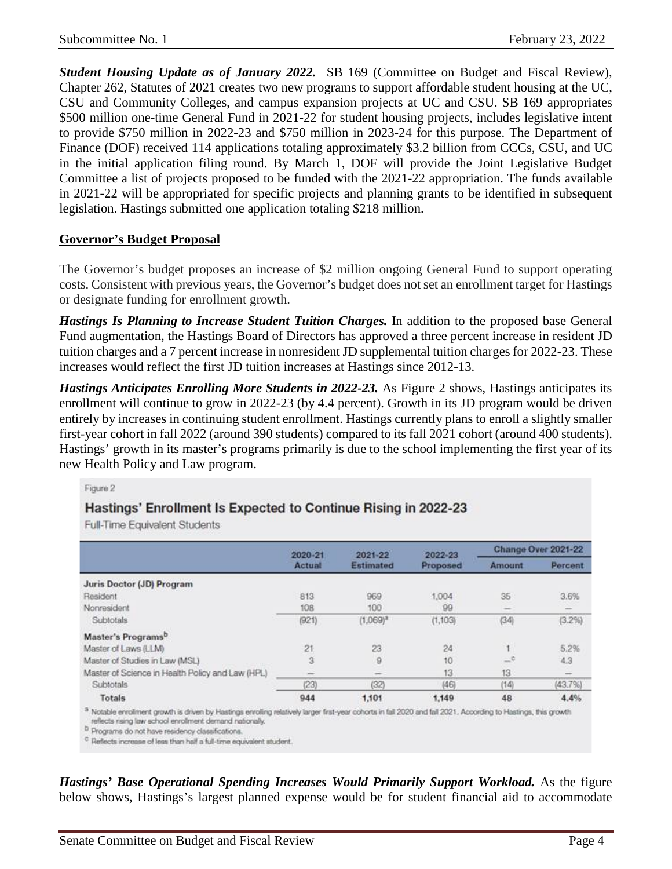*Student Housing Update as of January 2022.* SB 169 (Committee on Budget and Fiscal Review), Chapter 262, Statutes of 2021 creates two new programs to support affordable student housing at the UC, CSU and Community Colleges, and campus expansion projects at UC and CSU. SB 169 appropriates \$500 million one-time General Fund in 2021-22 for student housing projects, includes legislative intent to provide \$750 million in 2022-23 and \$750 million in 2023-24 for this purpose. The Department of Finance (DOF) received 114 applications totaling approximately \$3.2 billion from CCCs, CSU, and UC in the initial application filing round. By March 1, DOF will provide the Joint Legislative Budget Committee a list of projects proposed to be funded with the 2021-22 appropriation. The funds available in 2021-22 will be appropriated for specific projects and planning grants to be identified in subsequent legislation. Hastings submitted one application totaling \$218 million.

## **Governor's Budget Proposal**

The Governor's budget proposes an increase of \$2 million ongoing General Fund to support operating costs. Consistent with previous years, the Governor's budget does not set an enrollment target for Hastings or designate funding for enrollment growth.

*Hastings Is Planning to Increase Student Tuition Charges.* In addition to the proposed base General Fund augmentation, the Hastings Board of Directors has approved a three percent increase in resident JD tuition charges and a 7 percent increase in nonresident JD supplemental tuition charges for 2022-23. These increases would reflect the first JD tuition increases at Hastings since 2012-13.

*Hastings Anticipates Enrolling More Students in 2022-23.* As Figure 2 shows, Hastings anticipates its enrollment will continue to grow in 2022-23 (by 4.4 percent). Growth in its JD program would be driven entirely by increases in continuing student enrollment. Hastings currently plans to enroll a slightly smaller first-year cohort in fall 2022 (around 390 students) compared to its fall 2021 cohort (around 400 students). Hastings' growth in its master's programs primarily is due to the school implementing the first year of its new Health Policy and Law program.

#### Figure 2

## Hastings' Enrollment Is Expected to Continue Rising in 2022-23

Full-Time Equivalent Students

|                                                  | 2020-21 | 2021-22          | 2022-23  | Change Over 2021-22 |         |  |
|--------------------------------------------------|---------|------------------|----------|---------------------|---------|--|
|                                                  | Actual  | <b>Estimated</b> | Proposed | Amount              | Percent |  |
| Juris Doctor (JD) Program                        |         |                  |          |                     |         |  |
| Resident                                         | 813     | 969              | 1,004    | 35                  | 3.6%    |  |
| Nonresident                                      | 108     | 100              | 99       | <b>THE</b>          |         |  |
| Subtotals                                        | (921)   | $(1.069)^{3}$    | (1, 103) | (34)                | (3.2%)  |  |
| Master's Programs <sup>b</sup>                   |         |                  |          |                     |         |  |
| Master of Laws (LLM)                             | 21      | 23               | 24       | ч.                  | 5.2%    |  |
| Master of Studies in Law (MSL)                   | 3       | 9                | 10       | $-6$                | 4.3     |  |
| Master of Science in Health Policy and Law (HPL) |         |                  | 13       | 13                  |         |  |
| Subtotals                                        | (23)    | (32)             | (46)     | (14)                | (43.7%) |  |
| Totals                                           | 944     | 1,101            | 1,149    | 48                  | 4.4%    |  |

Notable enrollment growth is driven by Hastings enrolling relatively larger first-year cohorts in fall 2020 and fall 2021. According to Hastings, this growth reflects rising law school enrollment demand nationally.

<sup>b</sup> Programs do not have residency classifications.

<sup>c</sup> Reflects increase of less than half a full-time equivalent student.

*Hastings' Base Operational Spending Increases Would Primarily Support Workload.* **As the figure** below shows, Hastings's largest planned expense would be for student financial aid to accommodate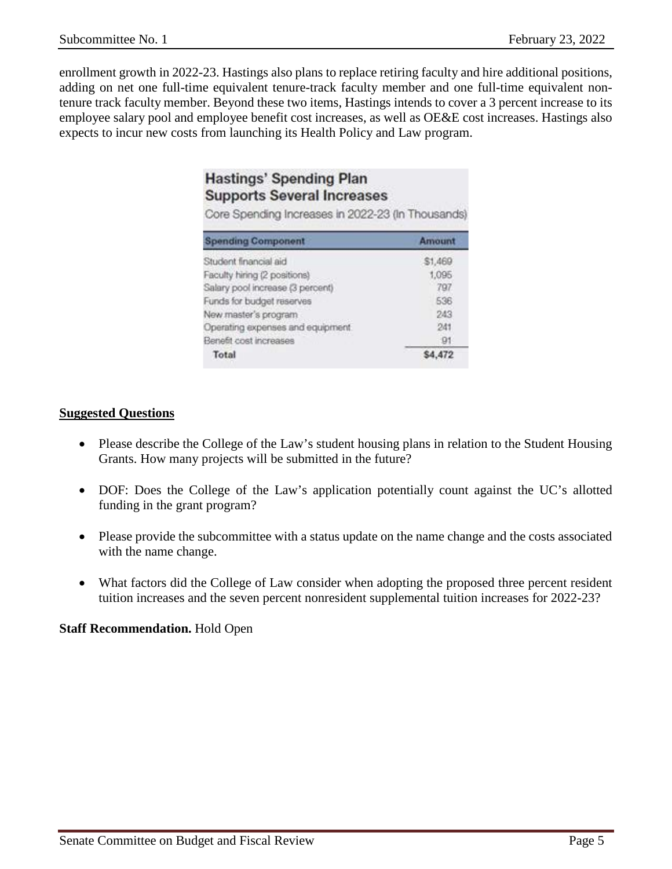enrollment growth in 2022-23. Hastings also plans to replace retiring faculty and hire additional positions, adding on net one full-time equivalent tenure-track faculty member and one full-time equivalent nontenure track faculty member. Beyond these two items, Hastings intends to cover a 3 percent increase to its employee salary pool and employee benefit cost increases, as well as OE&E cost increases. Hastings also expects to incur new costs from launching its Health Policy and Law program.

# **Hastings' Spending Plan Supports Several Increases**

Core Spending Increases in 2022-23 (In Thousands)

| <b>Spending Component</b>         | Amount  |
|-----------------------------------|---------|
| Student financial aid             | \$1,469 |
| Faculty hiring (2 positions)      | 1,095   |
| Salary pool increase (3 percent)  | 797     |
| Funds for budget reserves         | 536     |
| New master's program.             | 243     |
| Operating expenses and equipment. | 241     |
| Benefit cost increases            | 91      |
| Total                             |         |

#### **Suggested Questions**

- Please describe the College of the Law's student housing plans in relation to the Student Housing Grants. How many projects will be submitted in the future?
- DOF: Does the College of the Law's application potentially count against the UC's allotted funding in the grant program?
- Please provide the subcommittee with a status update on the name change and the costs associated with the name change.
- What factors did the College of Law consider when adopting the proposed three percent resident tuition increases and the seven percent nonresident supplemental tuition increases for 2022-23?

## **Staff Recommendation.** Hold Open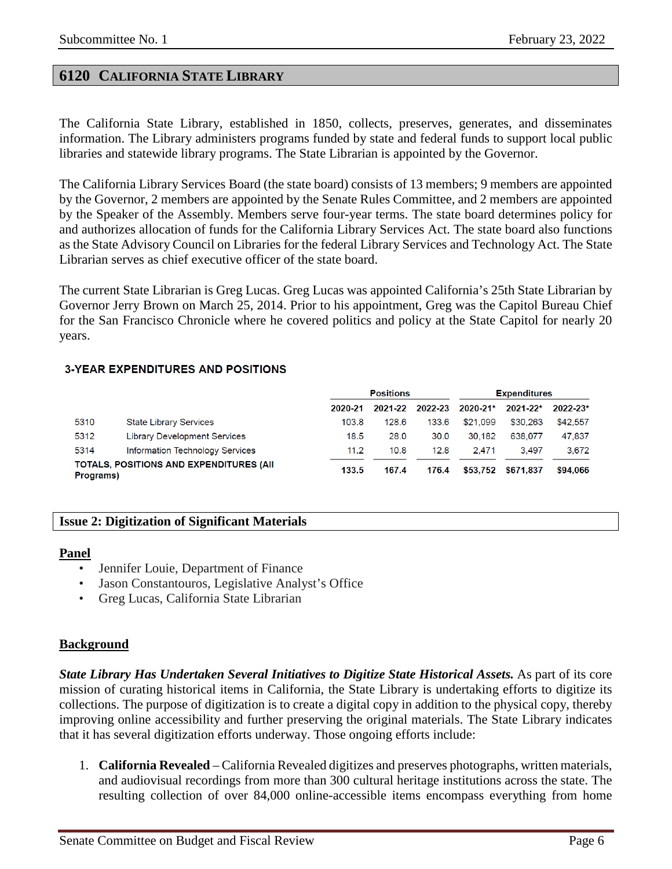## <span id="page-5-0"></span>**6120 CALIFORNIA STATE LIBRARY**

The California State Library, established in 1850, collects, preserves, generates, and disseminates information. The Library administers programs funded by state and federal funds to support local public libraries and statewide library programs. The State Librarian is appointed by the Governor.

The California Library Services Board (the state board) consists of 13 members; 9 members are appointed by the Governor, 2 members are appointed by the Senate Rules Committee, and 2 members are appointed by the Speaker of the Assembly. Members serve four-year terms. The state board determines policy for and authorizes allocation of funds for the California Library Services Act. The state board also functions as the State Advisory Council on Libraries for the federal Library Services and Technology Act. The State Librarian serves as chief executive officer of the state board.

The current State Librarian is Greg Lucas. Greg Lucas was appointed California's 25th State Librarian by Governor Jerry Brown on March 25, 2014. Prior to his appointment, Greg was the Capitol Bureau Chief for the San Francisco Chronicle where he covered politics and policy at the State Capitol for nearly 20 years.

#### **3-YEAR EXPENDITURES AND POSITIONS**

|           |                                                 | <b>Positions</b> |         |         | <b>Expenditures</b> |              |              |
|-----------|-------------------------------------------------|------------------|---------|---------|---------------------|--------------|--------------|
|           |                                                 | 2020-21          | 2021-22 | 2022-23 | 2020-21*            | $2021 - 22*$ | $2022 - 23*$ |
| 5310      | <b>State Library Services</b>                   | 103.8            | 128.6   | 133.6   | \$21.099            | \$30,263     | \$42,557     |
| 5312      | <b>Library Development Services</b>             | 18.5             | 28.0    | 30.0    | 30.182              | 638.077      | 47.837       |
| 5314      | Information Technology Services                 | 11.2             | 10.8    | 12.8    | 2.471               | 3.497        | 3.672        |
| Programs) | <b>TOTALS, POSITIONS AND EXPENDITURES (AII)</b> | 133.5            | 167.4   | 176.4   | \$53.752            | \$671.837    | \$94,066     |

#### <span id="page-5-1"></span>**Issue 2: Digitization of Significant Materials**

#### **Panel**

- Jennifer Louie, Department of Finance
- Jason Constantouros, Legislative Analyst's Office
- Greg Lucas, California State Librarian

#### **Background**

*State Library Has Undertaken Several Initiatives to Digitize State Historical Assets.* As part of its core mission of curating historical items in California, the State Library is undertaking efforts to digitize its collections. The purpose of digitization is to create a digital copy in addition to the physical copy, thereby improving online accessibility and further preserving the original materials. The State Library indicates that it has several digitization efforts underway. Those ongoing efforts include:

1. **California Revealed** – California Revealed digitizes and preserves photographs, written materials, and audiovisual recordings from more than 300 cultural heritage institutions across the state. The resulting collection of over 84,000 online-accessible items encompass everything from home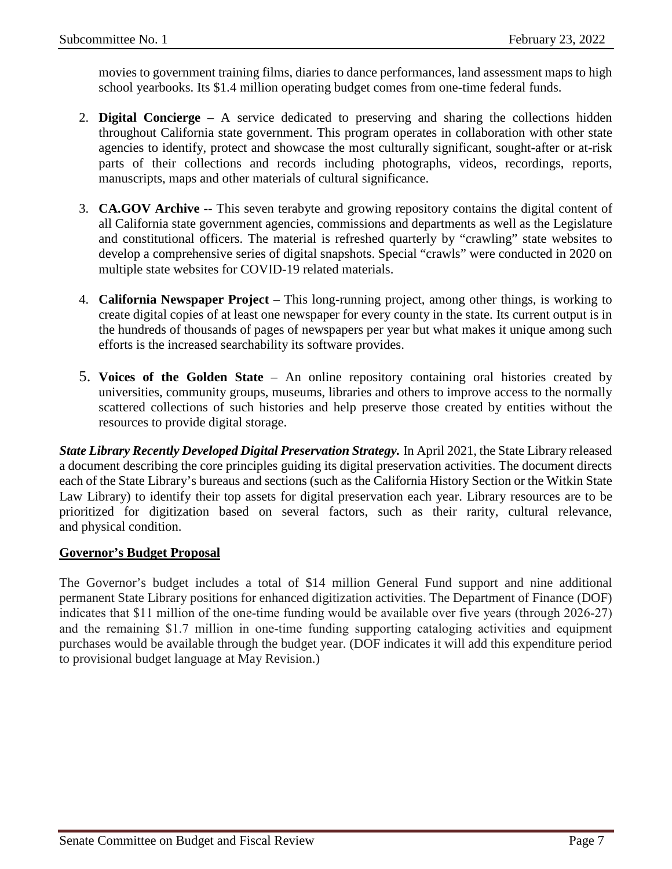movies to government training films, diaries to dance performances, land assessment maps to high school yearbooks. Its \$1.4 million operating budget comes from one-time federal funds.

- 2. **Digital Concierge**  A service dedicated to preserving and sharing the collections hidden throughout California state government. This program operates in collaboration with other state agencies to identify, protect and showcase the most culturally significant, sought-after or at-risk parts of their collections and records including photographs, videos, recordings, reports, manuscripts, maps and other materials of cultural significance.
- 3. **CA.GOV Archive** -- This seven terabyte and growing repository contains the digital content of all California state government agencies, commissions and departments as well as the Legislature and constitutional officers. The material is refreshed quarterly by "crawling" state websites to develop a comprehensive series of digital snapshots. Special "crawls" were conducted in 2020 on multiple state websites for COVID-19 related materials.
- 4. **California Newspaper Project**  This long-running project, among other things, is working to create digital copies of at least one newspaper for every county in the state. Its current output is in the hundreds of thousands of pages of newspapers per year but what makes it unique among such efforts is the increased searchability its software provides.
- 5. **Voices of the Golden State**  An online repository containing oral histories created by universities, community groups, museums, libraries and others to improve access to the normally scattered collections of such histories and help preserve those created by entities without the resources to provide digital storage.

*State Library Recently Developed Digital Preservation Strategy.* In April 2021, the State Library released a document describing the core principles guiding its digital preservation activities. The document directs each of the State Library's bureaus and sections (such as the California History Section or the Witkin State Law Library) to identify their top assets for digital preservation each year. Library resources are to be prioritized for digitization based on several factors, such as their rarity, cultural relevance, and physical condition.

#### **Governor's Budget Proposal**

The Governor's budget includes a total of \$14 million General Fund support and nine additional permanent State Library positions for enhanced digitization activities. The Department of Finance (DOF) indicates that \$11 million of the one-time funding would be available over five years (through 2026-27) and the remaining \$1.7 million in one-time funding supporting cataloging activities and equipment purchases would be available through the budget year. (DOF indicates it will add this expenditure period to provisional budget language at May Revision.)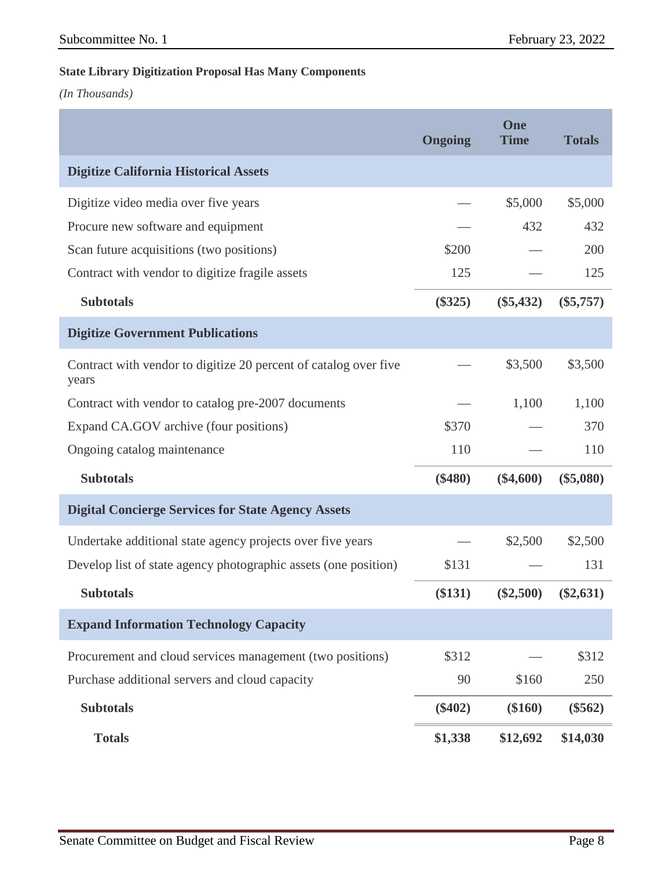#### **State Library Digitization Proposal Has Many Components**

*(In Thousands)*

|                                                                           | <b>Ongoing</b> | One<br><b>Time</b> | <b>Totals</b> |
|---------------------------------------------------------------------------|----------------|--------------------|---------------|
| <b>Digitize California Historical Assets</b>                              |                |                    |               |
| Digitize video media over five years                                      |                | \$5,000            | \$5,000       |
| Procure new software and equipment                                        |                | 432                | 432           |
| Scan future acquisitions (two positions)                                  | \$200          |                    | 200           |
| Contract with vendor to digitize fragile assets                           | 125            |                    | 125           |
| <b>Subtotals</b>                                                          | $(\$325)$      | $(\$5,432)$        | $(\$5,757)$   |
| <b>Digitize Government Publications</b>                                   |                |                    |               |
| Contract with vendor to digitize 20 percent of catalog over five<br>years |                | \$3,500            | \$3,500       |
| Contract with vendor to catalog pre-2007 documents                        |                | 1,100              | 1,100         |
| Expand CA.GOV archive (four positions)                                    | \$370          |                    | 370           |
| Ongoing catalog maintenance                                               | 110            |                    | 110           |
| <b>Subtotals</b>                                                          | $(\$480)$      | $(\$4,600)$        | $(\$5,080)$   |
| <b>Digital Concierge Services for State Agency Assets</b>                 |                |                    |               |
| Undertake additional state agency projects over five years                |                | \$2,500            | \$2,500       |
| Develop list of state agency photographic assets (one position)           | \$131          |                    | 131           |
| <b>Subtotals</b>                                                          | (\$131)        | $(\$2,500)$        | $(\$2,631)$   |
| <b>Expand Information Technology Capacity</b>                             |                |                    |               |
| Procurement and cloud services management (two positions)                 | \$312          |                    | \$312         |
| Purchase additional servers and cloud capacity                            | 90             | \$160              | 250           |
| <b>Subtotals</b>                                                          | $(\$402)$      | $(\$160)$          | $(\$562)$     |
| <b>Totals</b>                                                             | \$1,338        | \$12,692           | \$14,030      |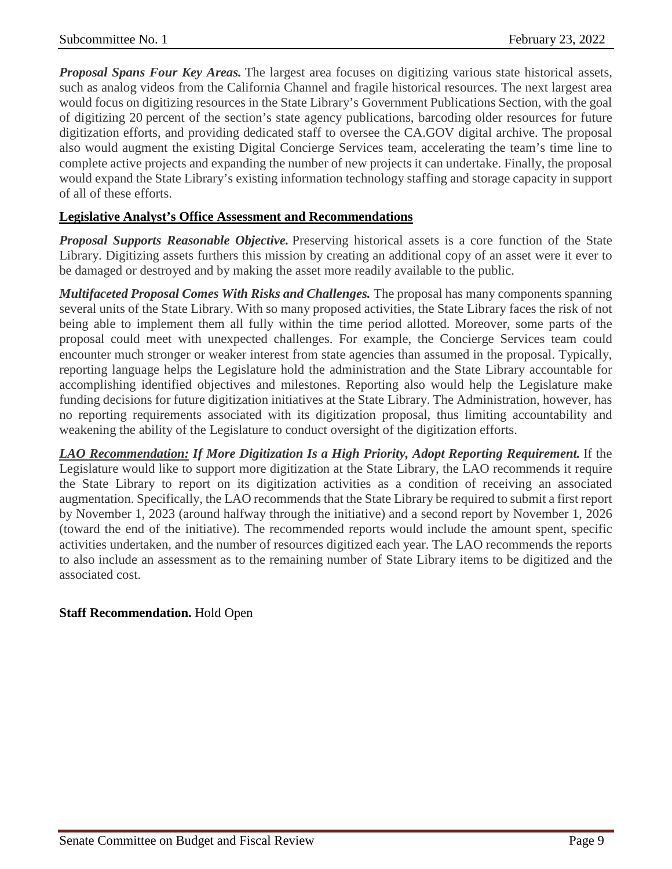*Proposal Spans Four Key Areas.* The largest area focuses on digitizing various state historical assets, such as analog videos from the California Channel and fragile historical resources. The next largest area would focus on digitizing resources in the State Library's Government Publications Section, with the goal of digitizing 20 percent of the section's state agency publications, barcoding older resources for future digitization efforts, and providing dedicated staff to oversee the CA.GOV digital archive. The proposal also would augment the existing Digital Concierge Services team, accelerating the team's time line to complete active projects and expanding the number of new projects it can undertake. Finally, the proposal would expand the State Library's existing information technology staffing and storage capacity in support of all of these efforts.

## **Legislative Analyst's Office Assessment and Recommendations**

*Proposal Supports Reasonable Objective.* Preserving historical assets is a core function of the State Library. Digitizing assets furthers this mission by creating an additional copy of an asset were it ever to be damaged or destroyed and by making the asset more readily available to the public.

*Multifaceted Proposal Comes With Risks and Challenges.* The proposal has many components spanning several units of the State Library. With so many proposed activities, the State Library faces the risk of not being able to implement them all fully within the time period allotted. Moreover, some parts of the proposal could meet with unexpected challenges. For example, the Concierge Services team could encounter much stronger or weaker interest from state agencies than assumed in the proposal. Typically, reporting language helps the Legislature hold the administration and the State Library accountable for accomplishing identified objectives and milestones. Reporting also would help the Legislature make funding decisions for future digitization initiatives at the State Library. The Administration, however, has no reporting requirements associated with its digitization proposal, thus limiting accountability and weakening the ability of the Legislature to conduct oversight of the digitization efforts.

*LAO Recommendation: If More Digitization Is a High Priority, Adopt Reporting Requirement.* If the Legislature would like to support more digitization at the State Library, the LAO recommends it require the State Library to report on its digitization activities as a condition of receiving an associated augmentation. Specifically, the LAO recommends that the State Library be required to submit a first report by November 1, 2023 (around halfway through the initiative) and a second report by November 1, 2026 (toward the end of the initiative). The recommended reports would include the amount spent, specific activities undertaken, and the number of resources digitized each year. The LAO recommends the reports to also include an assessment as to the remaining number of State Library items to be digitized and the associated cost.

## **Staff Recommendation.** Hold Open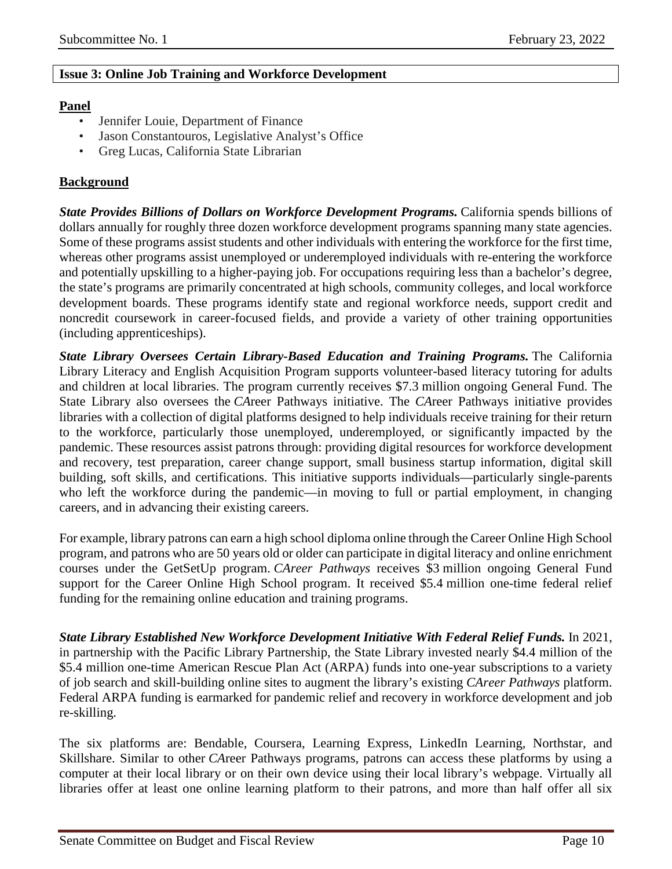## <span id="page-9-0"></span>**Issue 3: Online Job Training and Workforce Development**

## **Panel**

- Jennifer Louie, Department of Finance
- Jason Constantouros, Legislative Analyst's Office
- Greg Lucas, California State Librarian

## **Background**

*State Provides Billions of Dollars on Workforce Development Programs.* California spends billions of dollars annually for roughly three dozen workforce development programs spanning many state agencies. Some of these programs assist students and other individuals with entering the workforce for the first time, whereas other programs assist unemployed or underemployed individuals with re-entering the workforce and potentially upskilling to a higher-paying job. For occupations requiring less than a bachelor's degree, the state's programs are primarily concentrated at high schools, community colleges, and local workforce development boards. These programs identify state and regional workforce needs, support credit and noncredit coursework in career-focused fields, and provide a variety of other training opportunities (including apprenticeships).

*State Library Oversees Certain Library-Based Education and Training Programs.* The California Library Literacy and English Acquisition Program supports volunteer-based literacy tutoring for adults and children at local libraries. The program currently receives \$7.3 million ongoing General Fund. The State Library also oversees the *CA*reer Pathways initiative. The *CA*reer Pathways initiative provides libraries with a collection of digital platforms designed to help individuals receive training for their return to the workforce, particularly those unemployed, underemployed, or significantly impacted by the pandemic. These resources assist patrons through: providing digital resources for workforce development and recovery, test preparation, career change support, small business startup information, digital skill building, soft skills, and certifications. This initiative supports individuals—particularly single-parents who left the workforce during the pandemic—in moving to full or partial employment, in changing careers, and in advancing their existing careers.

For example, library patrons can earn a high school diploma online through the Career Online High School program, and patrons who are 50 years old or older can participate in digital literacy and online enrichment courses under the GetSetUp program. *CAreer Pathways* receives \$3 million ongoing General Fund support for the Career Online High School program. It received \$5.4 million one-time federal relief funding for the remaining online education and training programs.

*State Library Established New Workforce Development Initiative With Federal Relief Funds.* In 2021, in partnership with the Pacific Library Partnership, the State Library invested nearly \$4.4 million of the \$5.4 million one-time American Rescue Plan Act (ARPA) funds into one-year subscriptions to a variety of job search and skill-building online sites to augment the library's existing *CAreer Pathways* platform. Federal ARPA funding is earmarked for pandemic relief and recovery in workforce development and job re-skilling.

The six platforms are: Bendable, Coursera, Learning Express, LinkedIn Learning, Northstar, and Skillshare. Similar to other *CA*reer Pathways programs, patrons can access these platforms by using a computer at their local library or on their own device using their local library's webpage. Virtually all libraries offer at least one online learning platform to their patrons, and more than half offer all six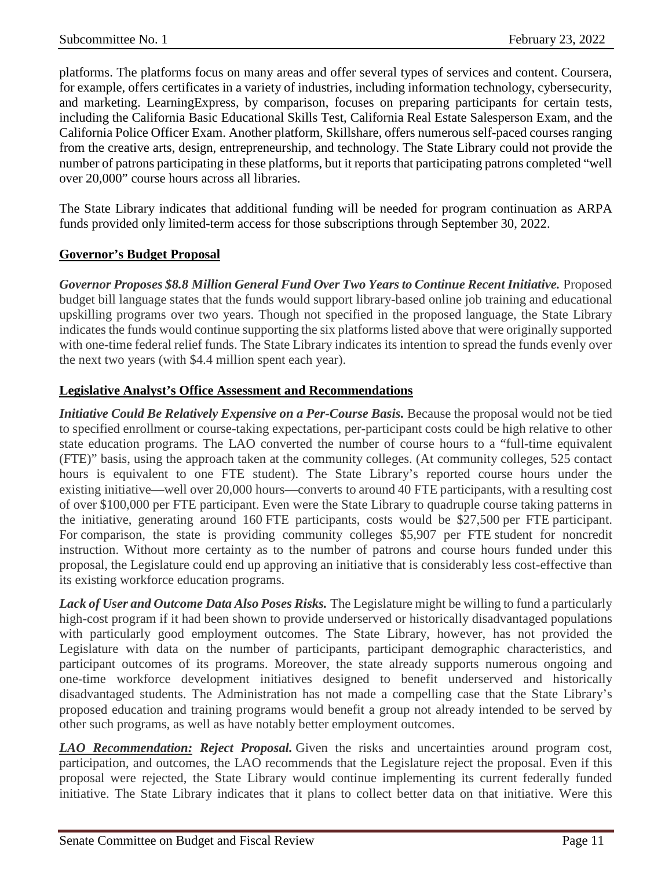platforms. The platforms focus on many areas and offer several types of services and content. Coursera, for example, offers certificates in a variety of industries, including information technology, cybersecurity, and marketing. LearningExpress, by comparison, focuses on preparing participants for certain tests, including the California Basic Educational Skills Test, California Real Estate Salesperson Exam, and the California Police Officer Exam. Another platform, Skillshare, offers numerous self-paced courses ranging from the creative arts, design, entrepreneurship, and technology. The State Library could not provide the number of patrons participating in these platforms, but it reports that participating patrons completed "well over 20,000" course hours across all libraries.

The State Library indicates that additional funding will be needed for program continuation as ARPA funds provided only limited-term access for those subscriptions through September 30, 2022.

## **Governor's Budget Proposal**

*Governor Proposes \$8.8 Million General Fund Over Two Years to Continue Recent Initiative.* Proposed budget bill language states that the funds would support library-based online job training and educational upskilling programs over two years. Though not specified in the proposed language, the State Library indicates the funds would continue supporting the six platforms listed above that were originally supported with one-time federal relief funds. The State Library indicates its intention to spread the funds evenly over the next two years (with \$4.4 million spent each year).

## **Legislative Analyst's Office Assessment and Recommendations**

*Initiative Could Be Relatively Expensive on a Per-Course Basis.* Because the proposal would not be tied to specified enrollment or course-taking expectations, per-participant costs could be high relative to other state education programs. The LAO converted the number of course hours to a "full-time equivalent (FTE)" basis, using the approach taken at the community colleges. (At community colleges, 525 contact hours is equivalent to one FTE student). The State Library's reported course hours under the existing initiative—well over 20,000 hours—converts to around 40 FTE participants, with a resulting cost of over \$100,000 per FTE participant. Even were the State Library to quadruple course taking patterns in the initiative, generating around 160 FTE participants, costs would be \$27,500 per FTE participant. For comparison, the state is providing community colleges \$5,907 per FTE student for noncredit instruction. Without more certainty as to the number of patrons and course hours funded under this proposal, the Legislature could end up approving an initiative that is considerably less cost-effective than its existing workforce education programs.

*Lack of User and Outcome Data Also Poses Risks.* The Legislature might be willing to fund a particularly high-cost program if it had been shown to provide underserved or historically disadvantaged populations with particularly good employment outcomes. The State Library, however, has not provided the Legislature with data on the number of participants, participant demographic characteristics, and participant outcomes of its programs. Moreover, the state already supports numerous ongoing and one-time workforce development initiatives designed to benefit underserved and historically disadvantaged students. The Administration has not made a compelling case that the State Library's proposed education and training programs would benefit a group not already intended to be served by other such programs, as well as have notably better employment outcomes.

*LAO Recommendation: Reject Proposal.* Given the risks and uncertainties around program cost, participation, and outcomes, the LAO recommends that the Legislature reject the proposal. Even if this proposal were rejected, the State Library would continue implementing its current federally funded initiative. The State Library indicates that it plans to collect better data on that initiative. Were this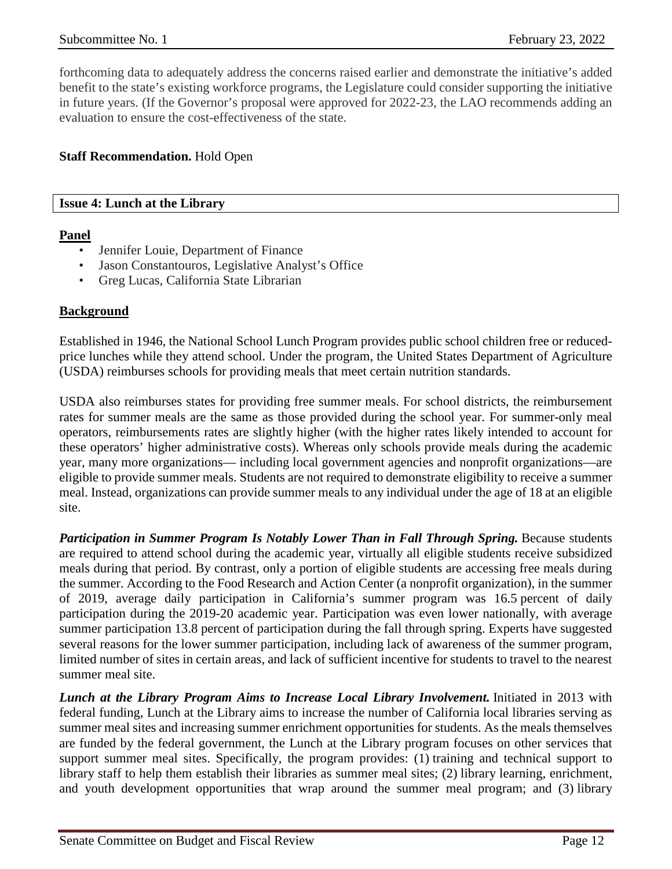forthcoming data to adequately address the concerns raised earlier and demonstrate the initiative's added benefit to the state's existing workforce programs, the Legislature could consider supporting the initiative in future years. (If the Governor's proposal were approved for 2022-23, the LAO recommends adding an evaluation to ensure the cost-effectiveness of the state.

## **Staff Recommendation.** Hold Open

#### <span id="page-11-0"></span>**Issue 4: Lunch at the Library**

#### **Panel**

- Jennifer Louie, Department of Finance
- Jason Constantouros, Legislative Analyst's Office
- Greg Lucas, California State Librarian

## **Background**

Established in 1946, the National School Lunch Program provides public school children free or reducedprice lunches while they attend school. Under the program, the United States Department of Agriculture (USDA) reimburses schools for providing meals that meet certain nutrition standards.

USDA also reimburses states for providing free summer meals. For school districts, the reimbursement rates for summer meals are the same as those provided during the school year. For summer-only meal operators, reimbursements rates are slightly higher (with the higher rates likely intended to account for these operators' higher administrative costs). Whereas only schools provide meals during the academic year, many more organizations— including local government agencies and nonprofit organizations—are eligible to provide summer meals. Students are not required to demonstrate eligibility to receive a summer meal. Instead, organizations can provide summer meals to any individual under the age of 18 at an eligible site.

*Participation in Summer Program Is Notably Lower Than in Fall Through Spring.* Because students are required to attend school during the academic year, virtually all eligible students receive subsidized meals during that period. By contrast, only a portion of eligible students are accessing free meals during the summer. According to the Food Research and Action Center (a nonprofit organization), in the summer of 2019, average daily participation in California's summer program was 16.5 percent of daily participation during the 2019-20 academic year. Participation was even lower nationally, with average summer participation 13.8 percent of participation during the fall through spring. Experts have suggested several reasons for the lower summer participation, including lack of awareness of the summer program, limited number of sites in certain areas, and lack of sufficient incentive for students to travel to the nearest summer meal site.

*Lunch at the Library Program Aims to Increase Local Library Involvement.* Initiated in 2013 with federal funding, Lunch at the Library aims to increase the number of California local libraries serving as summer meal sites and increasing summer enrichment opportunities for students. As the meals themselves are funded by the federal government, the Lunch at the Library program focuses on other services that support summer meal sites. Specifically, the program provides: (1) training and technical support to library staff to help them establish their libraries as summer meal sites; (2) library learning, enrichment, and youth development opportunities that wrap around the summer meal program; and (3) library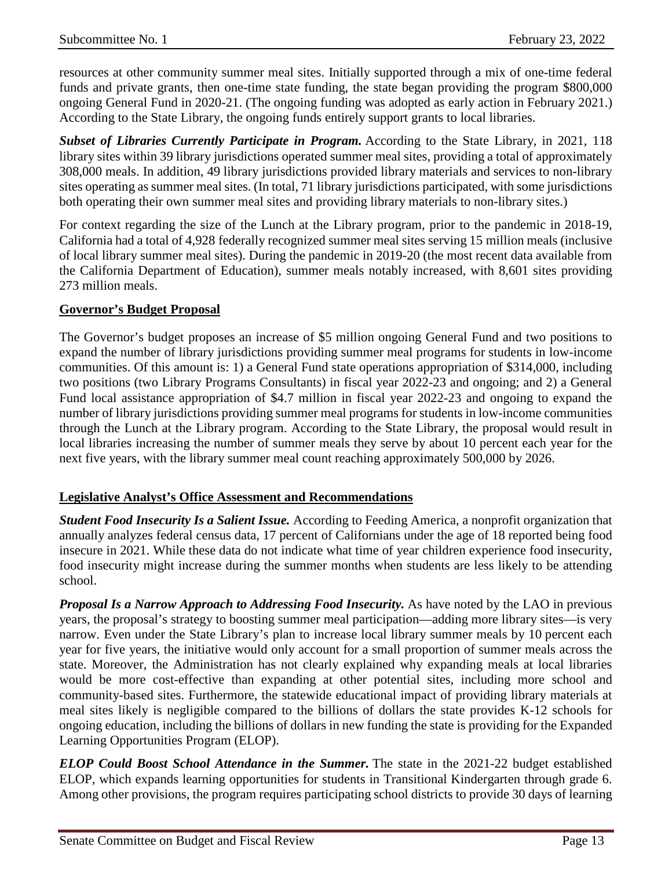resources at other community summer meal sites. Initially supported through a mix of one-time federal funds and private grants, then one-time state funding, the state began providing the program \$800,000 ongoing General Fund in 2020-21. (The ongoing funding was adopted as early action in February 2021.) According to the State Library, the ongoing funds entirely support grants to local libraries.

*Subset of Libraries Currently Participate in Program.* According to the State Library, in 2021, 118 library sites within 39 library jurisdictions operated summer meal sites, providing a total of approximately 308,000 meals. In addition, 49 library jurisdictions provided library materials and services to non-library sites operating as summer meal sites. (In total, 71 library jurisdictions participated, with some jurisdictions both operating their own summer meal sites and providing library materials to non-library sites.)

For context regarding the size of the Lunch at the Library program, prior to the pandemic in 2018-19, California had a total of 4,928 federally recognized summer meal sites serving 15 million meals (inclusive of local library summer meal sites). During the pandemic in 2019-20 (the most recent data available from the California Department of Education), summer meals notably increased, with 8,601 sites providing 273 million meals.

## **Governor's Budget Proposal**

The Governor's budget proposes an increase of \$5 million ongoing General Fund and two positions to expand the number of library jurisdictions providing summer meal programs for students in low-income communities. Of this amount is: 1) a General Fund state operations appropriation of \$314,000, including two positions (two Library Programs Consultants) in fiscal year 2022-23 and ongoing; and 2) a General Fund local assistance appropriation of \$4.7 million in fiscal year 2022-23 and ongoing to expand the number of library jurisdictions providing summer meal programs for students in low-income communities through the Lunch at the Library program. According to the State Library, the proposal would result in local libraries increasing the number of summer meals they serve by about 10 percent each year for the next five years, with the library summer meal count reaching approximately 500,000 by 2026.

## **Legislative Analyst's Office Assessment and Recommendations**

*Student Food Insecurity Is a Salient Issue.* According to Feeding America, a nonprofit organization that annually analyzes federal census data, 17 percent of Californians under the age of 18 reported being food insecure in 2021. While these data do not indicate what time of year children experience food insecurity, food insecurity might increase during the summer months when students are less likely to be attending school.

*Proposal Is a Narrow Approach to Addressing Food Insecurity.* As have noted by the LAO in previous years, the proposal's strategy to boosting summer meal participation—adding more library sites—is very narrow. Even under the State Library's plan to increase local library summer meals by 10 percent each year for five years, the initiative would only account for a small proportion of summer meals across the state. Moreover, the Administration has not clearly explained why expanding meals at local libraries would be more cost-effective than expanding at other potential sites, including more school and community-based sites. Furthermore, the statewide educational impact of providing library materials at meal sites likely is negligible compared to the billions of dollars the state provides K-12 schools for ongoing education, including the billions of dollars in new funding the state is providing for the Expanded Learning Opportunities Program (ELOP).

*ELOP Could Boost School Attendance in the Summer.* The state in the 2021-22 budget established ELOP, which expands learning opportunities for students in Transitional Kindergarten through grade 6. Among other provisions, the program requires participating school districts to provide 30 days of learning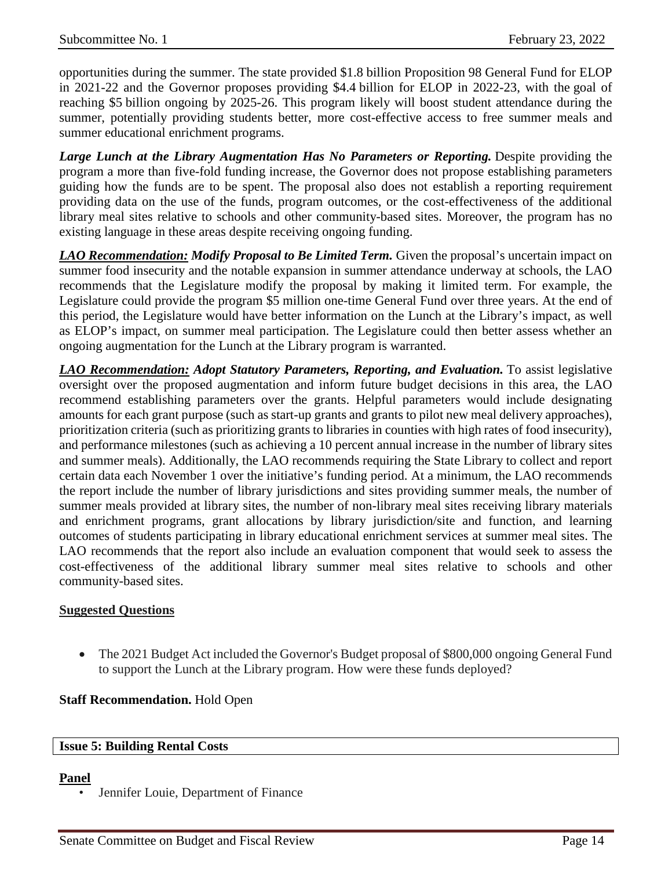opportunities during the summer. The state provided \$1.8 billion Proposition 98 General Fund for ELOP in 2021-22 and the Governor proposes providing \$4.4 billion for ELOP in 2022-23, with the goal of reaching \$5 billion ongoing by 2025-26. This program likely will boost student attendance during the summer, potentially providing students better, more cost-effective access to free summer meals and summer educational enrichment programs.

*Large Lunch at the Library Augmentation Has No Parameters or Reporting.* Despite providing the program a more than five-fold funding increase, the Governor does not propose establishing parameters guiding how the funds are to be spent. The proposal also does not establish a reporting requirement providing data on the use of the funds, program outcomes, or the cost-effectiveness of the additional library meal sites relative to schools and other community-based sites. Moreover, the program has no existing language in these areas despite receiving ongoing funding.

*LAO Recommendation: Modify Proposal to Be Limited Term.* Given the proposal's uncertain impact on summer food insecurity and the notable expansion in summer attendance underway at schools, the LAO recommends that the Legislature modify the proposal by making it limited term. For example, the Legislature could provide the program \$5 million one-time General Fund over three years. At the end of this period, the Legislature would have better information on the Lunch at the Library's impact, as well as ELOP's impact, on summer meal participation. The Legislature could then better assess whether an ongoing augmentation for the Lunch at the Library program is warranted.

*LAO Recommendation: Adopt Statutory Parameters, Reporting, and Evaluation.* To assist legislative oversight over the proposed augmentation and inform future budget decisions in this area, the LAO recommend establishing parameters over the grants. Helpful parameters would include designating amounts for each grant purpose (such as start-up grants and grants to pilot new meal delivery approaches), prioritization criteria (such as prioritizing grants to libraries in counties with high rates of food insecurity), and performance milestones (such as achieving a 10 percent annual increase in the number of library sites and summer meals). Additionally, the LAO recommends requiring the State Library to collect and report certain data each November 1 over the initiative's funding period. At a minimum, the LAO recommends the report include the number of library jurisdictions and sites providing summer meals, the number of summer meals provided at library sites, the number of non-library meal sites receiving library materials and enrichment programs, grant allocations by library jurisdiction/site and function, and learning outcomes of students participating in library educational enrichment services at summer meal sites. The LAO recommends that the report also include an evaluation component that would seek to assess the cost-effectiveness of the additional library summer meal sites relative to schools and other community-based sites.

#### **Suggested Questions**

• The 2021 Budget Act included the Governor's Budget proposal of \$800,000 ongoing General Fund to support the Lunch at the Library program. How were these funds deployed?

#### **Staff Recommendation.** Hold Open

#### <span id="page-13-0"></span>**Issue 5: Building Rental Costs**

#### **Panel**

• Jennifer Louie, Department of Finance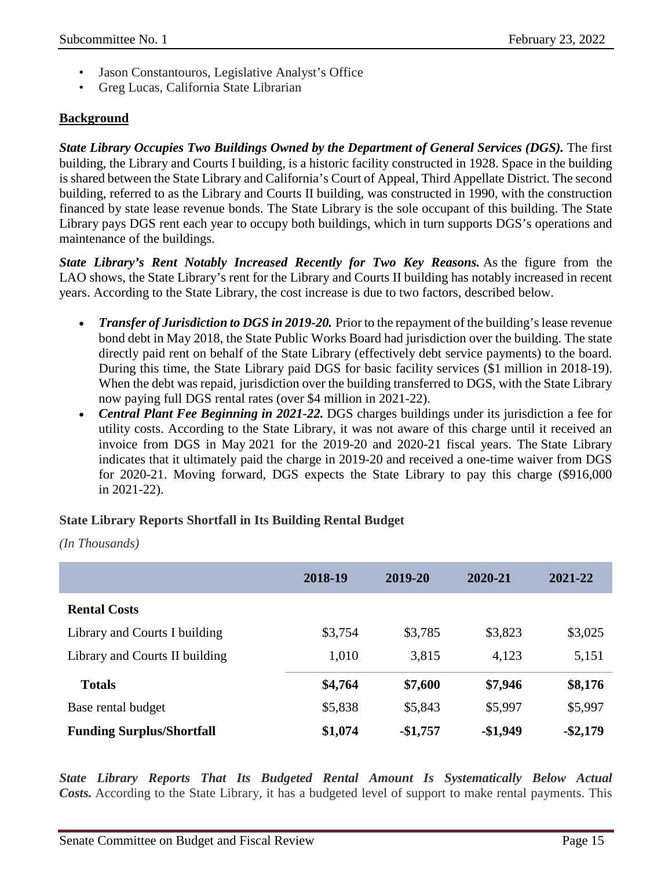- Jason Constantouros, Legislative Analyst's Office
- Greg Lucas, California State Librarian

## **Background**

*State Library Occupies Two Buildings Owned by the Department of General Services (DGS).* The first building, the Library and Courts I building, is a historic facility constructed in 1928. Space in the building is shared between the State Library and California's Court of Appeal, Third Appellate District. The second building, referred to as the Library and Courts II building, was constructed in 1990, with the construction financed by state lease revenue bonds. The State Library is the sole occupant of this building. The State Library pays DGS rent each year to occupy both buildings, which in turn supports DGS's operations and maintenance of the buildings.

*State Library's Rent Notably Increased Recently for Two Key Reasons.* As the figure from the LAO shows, the State Library's rent for the Library and Courts II building has notably increased in recent years. According to the State Library, the cost increase is due to two factors, described below.

- *Transfer of Jurisdiction to DGS in 2019-20.* Prior to the repayment of the building's lease revenue bond debt in May 2018, the State Public Works Board had jurisdiction over the building. The state directly paid rent on behalf of the State Library (effectively debt service payments) to the board. During this time, the State Library paid DGS for basic facility services (\$1 million in 2018-19). When the debt was repaid, jurisdiction over the building transferred to DGS, with the State Library now paying full DGS rental rates (over \$4 million in 2021-22).
- *Central Plant Fee Beginning in 2021-22.* DGS charges buildings under its jurisdiction a fee for utility costs. According to the State Library, it was not aware of this charge until it received an invoice from DGS in May 2021 for the 2019-20 and 2020-21 fiscal years. The State Library indicates that it ultimately paid the charge in 2019-20 and received a one-time waiver from DGS for 2020-21. Moving forward, DGS expects the State Library to pay this charge (\$916,000 in 2021-22).

#### **State Library Reports Shortfall in Its Building Rental Budget**

*(In Thousands)*

|                                  | 2018-19 | 2019-20   | 2020-21   | 2021-22     |
|----------------------------------|---------|-----------|-----------|-------------|
| <b>Rental Costs</b>              |         |           |           |             |
| Library and Courts I building    | \$3,754 | \$3,785   | \$3,823   | \$3,025     |
| Library and Courts II building   | 1,010   | 3,815     | 4,123     | 5,151       |
| <b>Totals</b>                    | \$4,764 | \$7,600   | \$7,946   | \$8,176     |
| Base rental budget               | \$5,838 | \$5,843   | \$5,997   | \$5,997     |
| <b>Funding Surplus/Shortfall</b> | \$1,074 | $-$1,757$ | $-$1,949$ | $-$ \$2,179 |

*State Library Reports That Its Budgeted Rental Amount Is Systematically Below Actual Costs.* According to the State Library, it has a budgeted level of support to make rental payments. This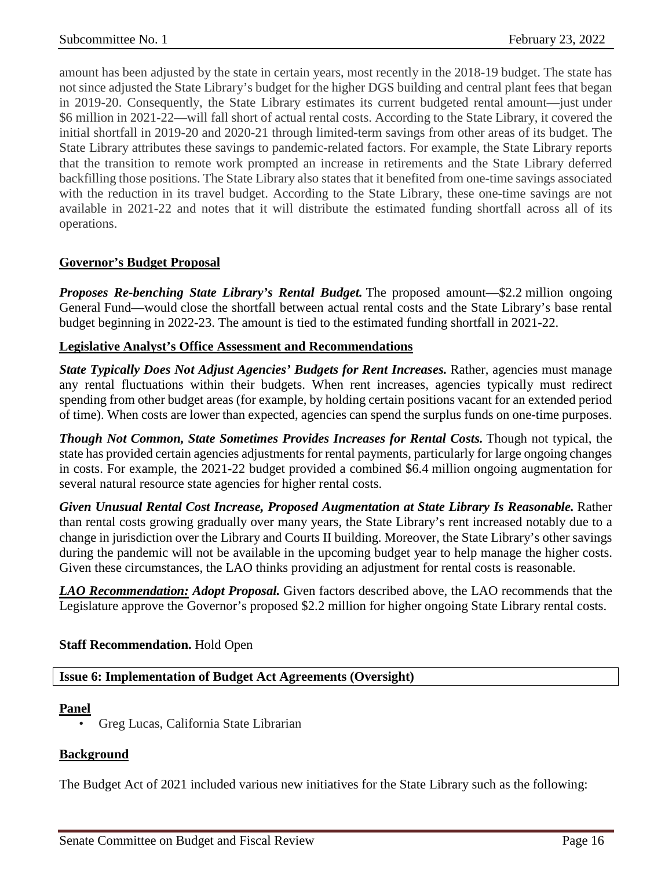amount has been adjusted by the state in certain years, most recently in the 2018-19 budget. The state has not since adjusted the State Library's budget for the higher DGS building and central plant fees that began in 2019-20. Consequently, the State Library estimates its current budgeted rental amount—just under \$6 million in 2021-22—will fall short of actual rental costs. According to the State Library, it covered the initial shortfall in 2019-20 and 2020-21 through limited-term savings from other areas of its budget. The State Library attributes these savings to pandemic-related factors. For example, the State Library reports that the transition to remote work prompted an increase in retirements and the State Library deferred backfilling those positions. The State Library also states that it benefited from one-time savings associated with the reduction in its travel budget. According to the State Library, these one-time savings are not available in 2021-22 and notes that it will distribute the estimated funding shortfall across all of its operations.

## **Governor's Budget Proposal**

*Proposes Re-benching State Library's Rental Budget.* The proposed amount—\$2.2 million ongoing General Fund—would close the shortfall between actual rental costs and the State Library's base rental budget beginning in 2022-23. The amount is tied to the estimated funding shortfall in 2021-22.

## **Legislative Analyst's Office Assessment and Recommendations**

*State Typically Does Not Adjust Agencies' Budgets for Rent Increases.* Rather, agencies must manage any rental fluctuations within their budgets. When rent increases, agencies typically must redirect spending from other budget areas (for example, by holding certain positions vacant for an extended period of time). When costs are lower than expected, agencies can spend the surplus funds on one-time purposes.

*Though Not Common, State Sometimes Provides Increases for Rental Costs.* Though not typical, the state has provided certain agencies adjustments for rental payments, particularly for large ongoing changes in costs. For example, the 2021-22 budget provided a combined \$6.4 million ongoing augmentation for several natural resource state agencies for higher rental costs.

*Given Unusual Rental Cost Increase, Proposed Augmentation at State Library Is Reasonable.* Rather than rental costs growing gradually over many years, the State Library's rent increased notably due to a change in jurisdiction over the Library and Courts II building. Moreover, the State Library's other savings during the pandemic will not be available in the upcoming budget year to help manage the higher costs. Given these circumstances, the LAO thinks providing an adjustment for rental costs is reasonable.

*LAO Recommendation: Adopt Proposal.* Given factors described above, the LAO recommends that the Legislature approve the Governor's proposed \$2.2 million for higher ongoing State Library rental costs.

#### **Staff Recommendation.** Hold Open

#### <span id="page-15-0"></span>**Issue 6: Implementation of Budget Act Agreements (Oversight)**

#### **Panel**

• Greg Lucas, California State Librarian

#### **Background**

The Budget Act of 2021 included various new initiatives for the State Library such as the following: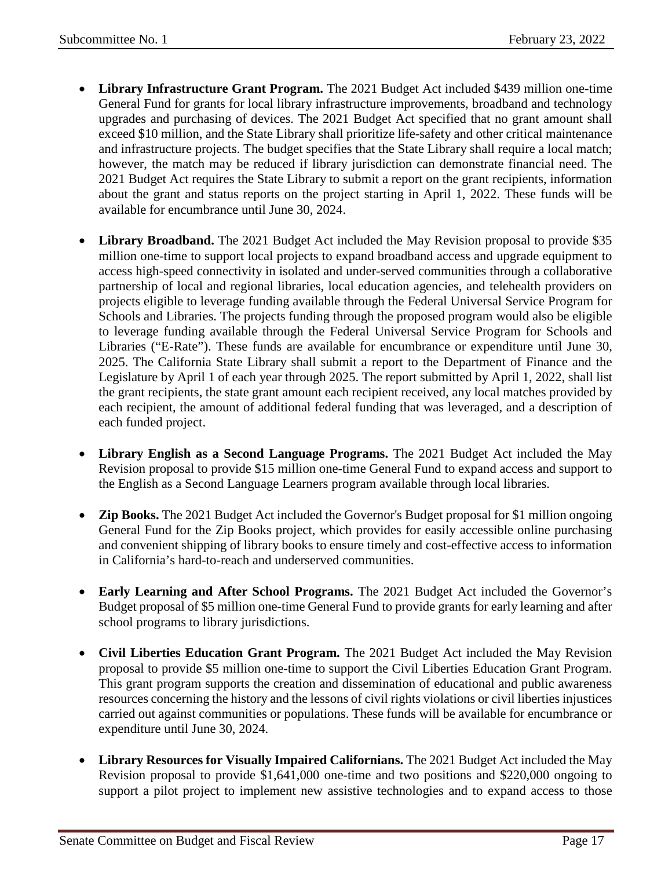- **Library Infrastructure Grant Program.** The 2021 Budget Act included \$439 million one-time General Fund for grants for local library infrastructure improvements, broadband and technology upgrades and purchasing of devices. The 2021 Budget Act specified that no grant amount shall exceed \$10 million, and the State Library shall prioritize life-safety and other critical maintenance and infrastructure projects. The budget specifies that the State Library shall require a local match; however, the match may be reduced if library jurisdiction can demonstrate financial need. The 2021 Budget Act requires the State Library to submit a report on the grant recipients, information about the grant and status reports on the project starting in April 1, 2022. These funds will be available for encumbrance until June 30, 2024.
- **Library Broadband.** The 2021 Budget Act included the May Revision proposal to provide \$35 million one-time to support local projects to expand broadband access and upgrade equipment to access high-speed connectivity in isolated and under-served communities through a collaborative partnership of local and regional libraries, local education agencies, and telehealth providers on projects eligible to leverage funding available through the Federal Universal Service Program for Schools and Libraries. The projects funding through the proposed program would also be eligible to leverage funding available through the Federal Universal Service Program for Schools and Libraries ("E-Rate"). These funds are available for encumbrance or expenditure until June 30, 2025. The California State Library shall submit a report to the Department of Finance and the Legislature by April 1 of each year through 2025. The report submitted by April 1, 2022, shall list the grant recipients, the state grant amount each recipient received, any local matches provided by each recipient, the amount of additional federal funding that was leveraged, and a description of each funded project.
- **Library English as a Second Language Programs.** The 2021 Budget Act included the May Revision proposal to provide \$15 million one-time General Fund to expand access and support to the English as a Second Language Learners program available through local libraries.
- **Zip Books.** The 2021 Budget Act included the Governor's Budget proposal for \$1 million ongoing General Fund for the Zip Books project, which provides for easily accessible online purchasing and convenient shipping of library books to ensure timely and cost-effective access to information in California's hard-to-reach and underserved communities.
- **Early Learning and After School Programs.** The 2021 Budget Act included the Governor's Budget proposal of \$5 million one-time General Fund to provide grants for early learning and after school programs to library jurisdictions.
- **Civil Liberties Education Grant Program.** The 2021 Budget Act included the May Revision proposal to provide \$5 million one-time to support the Civil Liberties Education Grant Program. This grant program supports the creation and dissemination of educational and public awareness resources concerning the history and the lessons of civil rights violations or civil liberties injustices carried out against communities or populations. These funds will be available for encumbrance or expenditure until June 30, 2024.
- **Library Resources for Visually Impaired Californians.** The 2021 Budget Act included the May Revision proposal to provide \$1,641,000 one-time and two positions and \$220,000 ongoing to support a pilot project to implement new assistive technologies and to expand access to those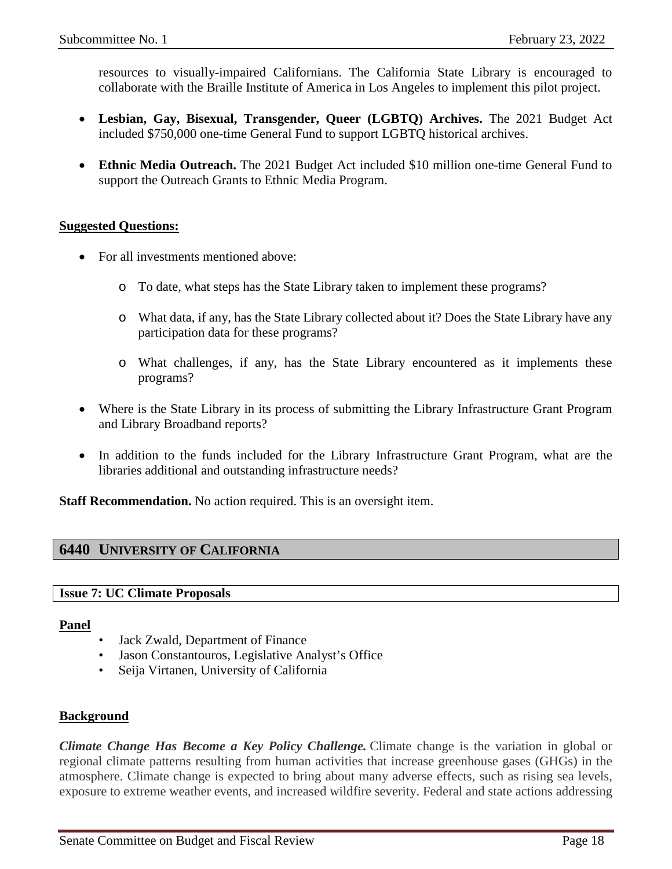resources to visually-impaired Californians. The California State Library is encouraged to collaborate with the Braille Institute of America in Los Angeles to implement this pilot project.

- **Lesbian, Gay, Bisexual, Transgender, Queer (LGBTQ) Archives.** The 2021 Budget Act included \$750,000 one-time General Fund to support LGBTQ historical archives.
- **Ethnic Media Outreach.** The 2021 Budget Act included \$10 million one-time General Fund to support the Outreach Grants to Ethnic Media Program.

## **Suggested Questions:**

- For all investments mentioned above:
	- o To date, what steps has the State Library taken to implement these programs?
	- o What data, if any, has the State Library collected about it? Does the State Library have any participation data for these programs?
	- o What challenges, if any, has the State Library encountered as it implements these programs?
- Where is the State Library in its process of submitting the Library Infrastructure Grant Program and Library Broadband reports?
- In addition to the funds included for the Library Infrastructure Grant Program, what are the libraries additional and outstanding infrastructure needs?

**Staff Recommendation.** No action required. This is an oversight item.

## <span id="page-17-0"></span>**6440 UNIVERSITY OF CALIFORNIA**

#### <span id="page-17-1"></span>**Issue 7: UC Climate Proposals**

#### **Panel**

- Jack Zwald, Department of Finance
- Jason Constantouros, Legislative Analyst's Office
- Seija Virtanen, University of California

#### **Background**

*Climate Change Has Become a Key Policy Challenge.* Climate change is the variation in global or regional climate patterns resulting from human activities that increase greenhouse gases (GHGs) in the atmosphere. Climate change is expected to bring about many adverse effects, such as rising sea levels, exposure to extreme weather events, and increased wildfire severity. Federal and state actions addressing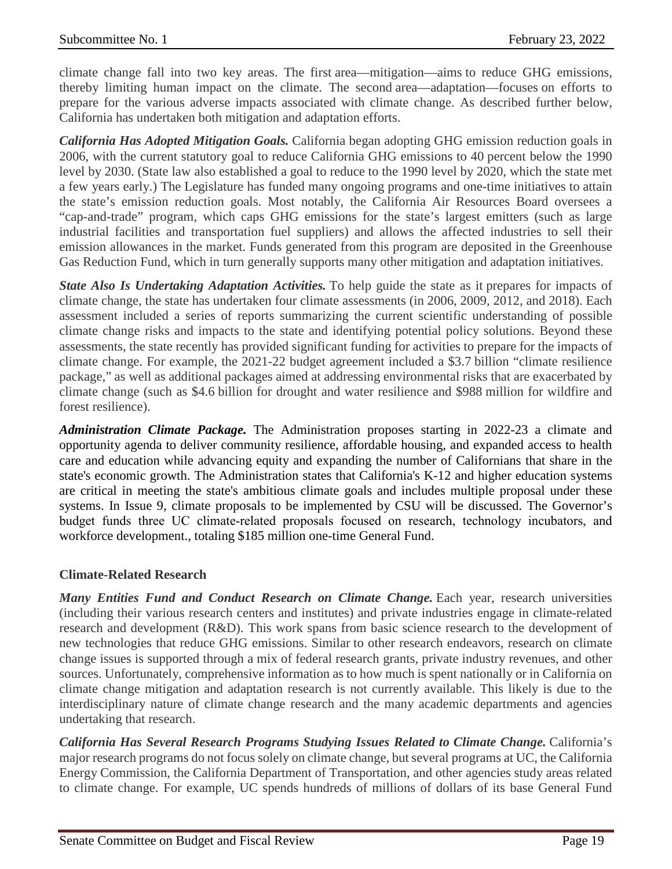climate change fall into two key areas. The first area—mitigation—aims to reduce GHG emissions, thereby limiting human impact on the climate. The second area—adaptation—focuses on efforts to prepare for the various adverse impacts associated with climate change. As described further below, California has undertaken both mitigation and adaptation efforts.

*California Has Adopted Mitigation Goals.* California began adopting GHG emission reduction goals in 2006, with the current statutory goal to reduce California GHG emissions to 40 percent below the 1990 level by 2030. (State law also established a goal to reduce to the 1990 level by 2020, which the state met a few years early.) The Legislature has funded many ongoing programs and one-time initiatives to attain the state's emission reduction goals. Most notably, the California Air Resources Board oversees a "cap-and-trade" program, which caps GHG emissions for the state's largest emitters (such as large industrial facilities and transportation fuel suppliers) and allows the affected industries to sell their emission allowances in the market. Funds generated from this program are deposited in the Greenhouse Gas Reduction Fund, which in turn generally supports many other mitigation and adaptation initiatives.

*State Also Is Undertaking Adaptation Activities.* To help guide the state as it prepares for impacts of climate change, the state has undertaken four climate assessments (in 2006, 2009, 2012, and 2018). Each assessment included a series of reports summarizing the current scientific understanding of possible climate change risks and impacts to the state and identifying potential policy solutions. Beyond these assessments, the state recently has provided significant funding for activities to prepare for the impacts of climate change. For example, the 2021-22 budget agreement included a \$3.7 billion "climate resilience package," as well as additional packages aimed at addressing environmental risks that are exacerbated by climate change (such as \$4.6 billion for drought and water resilience and \$988 million for wildfire and forest resilience).

*Administration Climate Package.* The Administration proposes starting in 2022-23 a climate and opportunity agenda to deliver community resilience, affordable housing, and expanded access to health care and education while advancing equity and expanding the number of Californians that share in the state's economic growth. The Administration states that California's K-12 and higher education systems are critical in meeting the state's ambitious climate goals and includes multiple proposal under these systems. In Issue 9, climate proposals to be implemented by CSU will be discussed. The Governor's budget funds three UC climate-related proposals focused on research, technology incubators, and workforce development., totaling \$185 million one-time General Fund.

#### **Climate-Related Research**

*Many Entities Fund and Conduct Research on Climate Change.* Each year, research universities (including their various research centers and institutes) and private industries engage in climate-related research and development (R&D). This work spans from basic science research to the development of new technologies that reduce GHG emissions. Similar to other research endeavors, research on climate change issues is supported through a mix of federal research grants, private industry revenues, and other sources. Unfortunately, comprehensive information as to how much is spent nationally or in California on climate change mitigation and adaptation research is not currently available. This likely is due to the interdisciplinary nature of climate change research and the many academic departments and agencies undertaking that research.

*California Has Several Research Programs Studying Issues Related to Climate Change.* California's major research programs do not focus solely on climate change, but several programs at UC, the California Energy Commission, the California Department of Transportation, and other agencies study areas related to climate change. For example, UC spends hundreds of millions of dollars of its base General Fund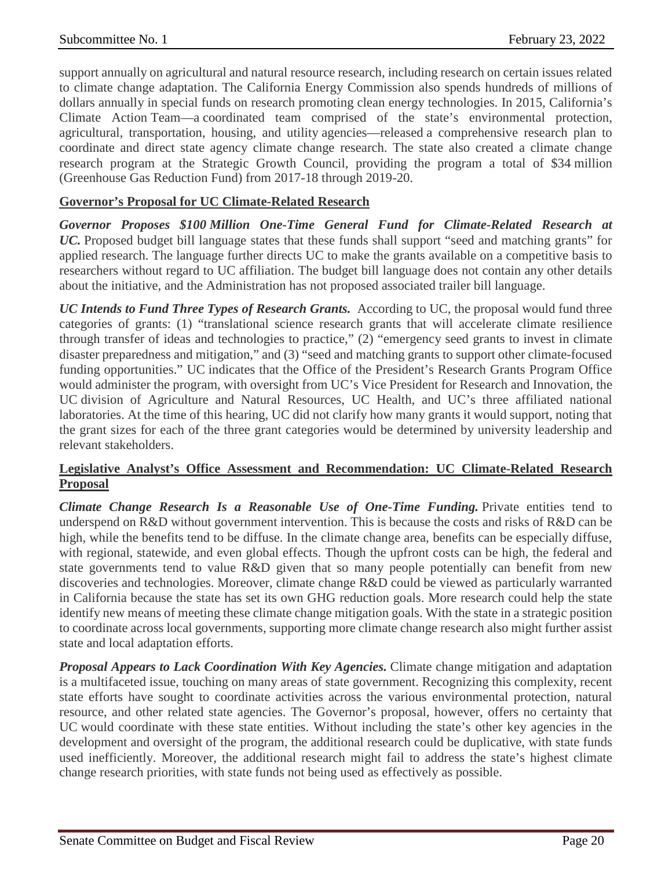support annually on agricultural and natural resource research, including research on certain issues related to climate change adaptation. The California Energy Commission also spends hundreds of millions of dollars annually in special funds on research promoting clean energy technologies. In 2015, California's Climate Action Team—a coordinated team comprised of the state's environmental protection, agricultural, transportation, housing, and utility agencies—released a comprehensive research plan to coordinate and direct state agency climate change research. The state also created a climate change research program at the Strategic Growth Council, providing the program a total of \$34 million (Greenhouse Gas Reduction Fund) from 2017-18 through 2019-20.

## **Governor's Proposal for UC Climate-Related Research**

*Governor Proposes \$100 Million One-Time General Fund for Climate-Related Research at UC.* Proposed budget bill language states that these funds shall support "seed and matching grants" for applied research. The language further directs UC to make the grants available on a competitive basis to researchers without regard to UC affiliation. The budget bill language does not contain any other details about the initiative, and the Administration has not proposed associated trailer bill language.

*UC Intends to Fund Three Types of Research Grants.* According to UC, the proposal would fund three categories of grants: (1) "translational science research grants that will accelerate climate resilience through transfer of ideas and technologies to practice," (2) "emergency seed grants to invest in climate disaster preparedness and mitigation," and (3) "seed and matching grants to support other climate-focused funding opportunities." UC indicates that the Office of the President's Research Grants Program Office would administer the program, with oversight from UC's Vice President for Research and Innovation, the UC division of Agriculture and Natural Resources, UC Health, and UC's three affiliated national laboratories. At the time of this hearing, UC did not clarify how many grants it would support, noting that the grant sizes for each of the three grant categories would be determined by university leadership and relevant stakeholders.

## **Legislative Analyst's Office Assessment and Recommendation: UC Climate-Related Research Proposal**

*Climate Change Research Is a Reasonable Use of One-Time Funding.* Private entities tend to underspend on R&D without government intervention. This is because the costs and risks of R&D can be high, while the benefits tend to be diffuse. In the climate change area, benefits can be especially diffuse, with regional, statewide, and even global effects. Though the upfront costs can be high, the federal and state governments tend to value R&D given that so many people potentially can benefit from new discoveries and technologies. Moreover, climate change R&D could be viewed as particularly warranted in California because the state has set its own GHG reduction goals. More research could help the state identify new means of meeting these climate change mitigation goals. With the state in a strategic position to coordinate across local governments, supporting more climate change research also might further assist state and local adaptation efforts.

*Proposal Appears to Lack Coordination With Key Agencies.* Climate change mitigation and adaptation is a multifaceted issue, touching on many areas of state government. Recognizing this complexity, recent state efforts have sought to coordinate activities across the various environmental protection, natural resource, and other related state agencies. The Governor's proposal, however, offers no certainty that UC would coordinate with these state entities. Without including the state's other key agencies in the development and oversight of the program, the additional research could be duplicative, with state funds used inefficiently. Moreover, the additional research might fail to address the state's highest climate change research priorities, with state funds not being used as effectively as possible.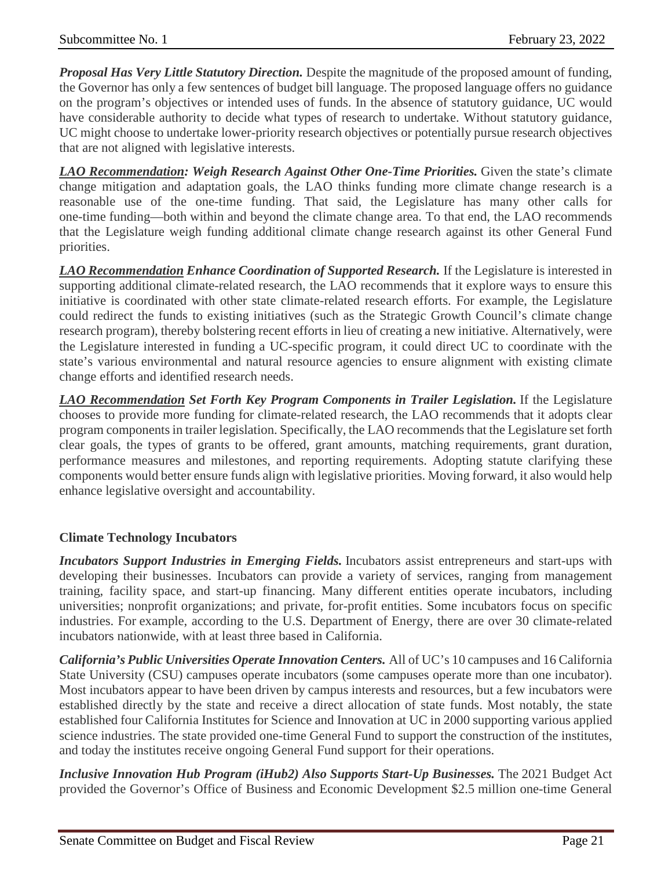*Proposal Has Very Little Statutory Direction.* Despite the magnitude of the proposed amount of funding, the Governor has only a few sentences of budget bill language. The proposed language offers no guidance on the program's objectives or intended uses of funds. In the absence of statutory guidance, UC would have considerable authority to decide what types of research to undertake. Without statutory guidance, UC might choose to undertake lower-priority research objectives or potentially pursue research objectives that are not aligned with legislative interests.

*LAO Recommendation: Weigh Research Against Other One-Time Priorities.* Given the state's climate change mitigation and adaptation goals, the LAO thinks funding more climate change research is a reasonable use of the one-time funding. That said, the Legislature has many other calls for one-time funding—both within and beyond the climate change area. To that end, the LAO recommends that the Legislature weigh funding additional climate change research against its other General Fund priorities.

*LAO Recommendation Enhance Coordination of Supported Research.* If the Legislature is interested in supporting additional climate-related research, the LAO recommends that it explore ways to ensure this initiative is coordinated with other state climate-related research efforts. For example, the Legislature could redirect the funds to existing initiatives (such as the Strategic Growth Council's climate change research program), thereby bolstering recent efforts in lieu of creating a new initiative. Alternatively, were the Legislature interested in funding a UC-specific program, it could direct UC to coordinate with the state's various environmental and natural resource agencies to ensure alignment with existing climate change efforts and identified research needs.

*LAO Recommendation Set Forth Key Program Components in Trailer Legislation.* If the Legislature chooses to provide more funding for climate-related research, the LAO recommends that it adopts clear program components in trailer legislation. Specifically, the LAO recommends that the Legislature set forth clear goals, the types of grants to be offered, grant amounts, matching requirements, grant duration, performance measures and milestones, and reporting requirements. Adopting statute clarifying these components would better ensure funds align with legislative priorities. Moving forward, it also would help enhance legislative oversight and accountability.

## **Climate Technology Incubators**

*Incubators Support Industries in Emerging Fields.* Incubators assist entrepreneurs and start-ups with developing their businesses. Incubators can provide a variety of services, ranging from management training, facility space, and start-up financing. Many different entities operate incubators, including universities; nonprofit organizations; and private, for-profit entities. Some incubators focus on specific industries. For example, according to the U.S. Department of Energy, there are over 30 climate-related incubators nationwide, with at least three based in California.

*California's Public Universities Operate Innovation Centers.* All of UC's 10 campuses and 16 California State University (CSU) campuses operate incubators (some campuses operate more than one incubator). Most incubators appear to have been driven by campus interests and resources, but a few incubators were established directly by the state and receive a direct allocation of state funds. Most notably, the state established four California Institutes for Science and Innovation at UC in 2000 supporting various applied science industries. The state provided one-time General Fund to support the construction of the institutes, and today the institutes receive ongoing General Fund support for their operations.

*Inclusive Innovation Hub Program (iHub2) Also Supports Start-Up Businesses.* The 2021 Budget Act provided the Governor's Office of Business and Economic Development \$2.5 million one-time General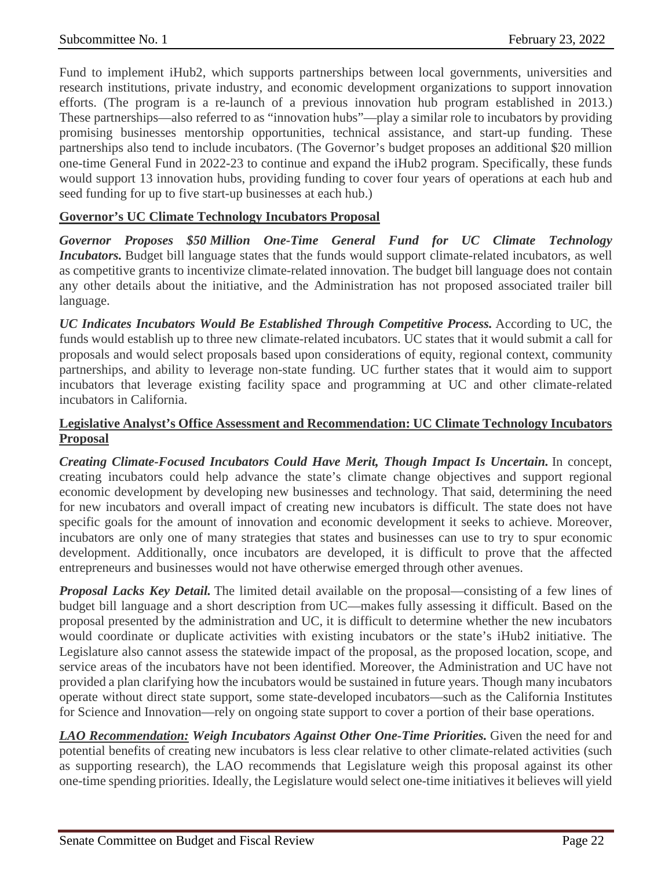Fund to implement iHub2, which supports partnerships between local governments, universities and research institutions, private industry, and economic development organizations to support innovation efforts. (The program is a re-launch of a previous innovation hub program established in 2013.) These partnerships—also referred to as "innovation hubs"—play a similar role to incubators by providing promising businesses mentorship opportunities, technical assistance, and start-up funding. These partnerships also tend to include incubators. (The Governor's budget proposes an additional \$20 million one-time General Fund in 2022-23 to continue and expand the iHub2 program. Specifically, these funds would support 13 innovation hubs, providing funding to cover four years of operations at each hub and seed funding for up to five start-up businesses at each hub.)

## **Governor's UC Climate Technology Incubators Proposal**

*Governor Proposes \$50 Million One-Time General Fund for UC Climate Technology Incubators*. Budget bill language states that the funds would support climate-related incubators, as well as competitive grants to incentivize climate-related innovation. The budget bill language does not contain any other details about the initiative, and the Administration has not proposed associated trailer bill language.

*UC Indicates Incubators Would Be Established Through Competitive Process.* According to UC, the funds would establish up to three new climate-related incubators. UC states that it would submit a call for proposals and would select proposals based upon considerations of equity, regional context, community partnerships, and ability to leverage non-state funding. UC further states that it would aim to support incubators that leverage existing facility space and programming at UC and other climate-related incubators in California.

## **Legislative Analyst's Office Assessment and Recommendation: UC Climate Technology Incubators Proposal**

*Creating Climate-Focused Incubators Could Have Merit, Though Impact Is Uncertain.* In concept, creating incubators could help advance the state's climate change objectives and support regional economic development by developing new businesses and technology. That said, determining the need for new incubators and overall impact of creating new incubators is difficult. The state does not have specific goals for the amount of innovation and economic development it seeks to achieve. Moreover, incubators are only one of many strategies that states and businesses can use to try to spur economic development. Additionally, once incubators are developed, it is difficult to prove that the affected entrepreneurs and businesses would not have otherwise emerged through other avenues.

*Proposal Lacks Key Detail.* The limited detail available on the proposal—consisting of a few lines of budget bill language and a short description from UC—makes fully assessing it difficult. Based on the proposal presented by the administration and UC, it is difficult to determine whether the new incubators would coordinate or duplicate activities with existing incubators or the state's iHub2 initiative. The Legislature also cannot assess the statewide impact of the proposal, as the proposed location, scope, and service areas of the incubators have not been identified. Moreover, the Administration and UC have not provided a plan clarifying how the incubators would be sustained in future years. Though many incubators operate without direct state support, some state-developed incubators—such as the California Institutes for Science and Innovation—rely on ongoing state support to cover a portion of their base operations.

*LAO Recommendation: Weigh Incubators Against Other One-Time Priorities.* Given the need for and potential benefits of creating new incubators is less clear relative to other climate-related activities (such as supporting research), the LAO recommends that Legislature weigh this proposal against its other one-time spending priorities. Ideally, the Legislature would select one-time initiatives it believes will yield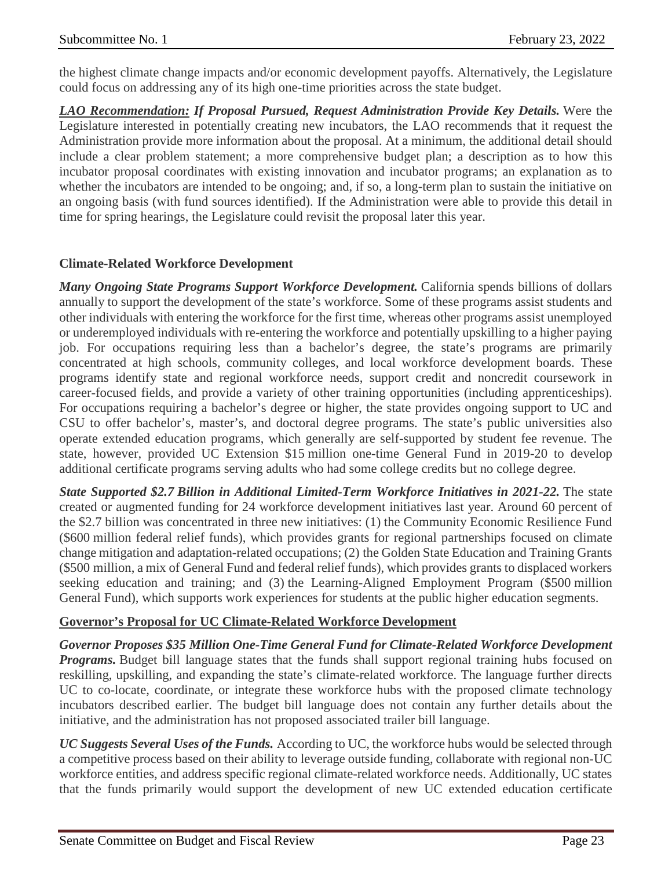the highest climate change impacts and/or economic development payoffs. Alternatively, the Legislature could focus on addressing any of its high one-time priorities across the state budget.

*LAO Recommendation: If Proposal Pursued, Request Administration Provide Key Details.* Were the Legislature interested in potentially creating new incubators, the LAO recommends that it request the Administration provide more information about the proposal. At a minimum, the additional detail should include a clear problem statement; a more comprehensive budget plan; a description as to how this incubator proposal coordinates with existing innovation and incubator programs; an explanation as to whether the incubators are intended to be ongoing; and, if so, a long-term plan to sustain the initiative on an ongoing basis (with fund sources identified). If the Administration were able to provide this detail in time for spring hearings, the Legislature could revisit the proposal later this year.

## **Climate-Related Workforce Development**

*Many Ongoing State Programs Support Workforce Development.* California spends billions of dollars annually to support the development of the state's workforce. Some of these programs assist students and other individuals with entering the workforce for the first time, whereas other programs assist unemployed or underemployed individuals with re-entering the workforce and potentially upskilling to a higher paying job. For occupations requiring less than a bachelor's degree, the state's programs are primarily concentrated at high schools, community colleges, and local workforce development boards. These programs identify state and regional workforce needs, support credit and noncredit coursework in career-focused fields, and provide a variety of other training opportunities (including apprenticeships). For occupations requiring a bachelor's degree or higher, the state provides ongoing support to UC and CSU to offer bachelor's, master's, and doctoral degree programs. The state's public universities also operate extended education programs, which generally are self-supported by student fee revenue. The state, however, provided UC Extension \$15 million one-time General Fund in 2019-20 to develop additional certificate programs serving adults who had some college credits but no college degree.

*State Supported \$2.7 Billion in Additional Limited-Term Workforce Initiatives in 2021-22.* The state created or augmented funding for 24 workforce development initiatives last year. Around 60 percent of the \$2.7 billion was concentrated in three new initiatives: (1) the Community Economic Resilience Fund (\$600 million federal relief funds), which provides grants for regional partnerships focused on climate change mitigation and adaptation-related occupations; (2) the Golden State Education and Training Grants (\$500 million, a mix of General Fund and federal relief funds), which provides grants to displaced workers seeking education and training; and (3) the Learning-Aligned Employment Program (\$500 million General Fund), which supports work experiences for students at the public higher education segments.

## **Governor's Proposal for UC Climate-Related Workforce Development**

*Governor Proposes \$35 Million One-Time General Fund for Climate-Related Workforce Development Programs.* Budget bill language states that the funds shall support regional training hubs focused on reskilling, upskilling, and expanding the state's climate-related workforce. The language further directs UC to co-locate, coordinate, or integrate these workforce hubs with the proposed climate technology incubators described earlier. The budget bill language does not contain any further details about the initiative, and the administration has not proposed associated trailer bill language.

*UC Suggests Several Uses of the Funds.* According to UC, the workforce hubs would be selected through a competitive process based on their ability to leverage outside funding, collaborate with regional non-UC workforce entities, and address specific regional climate-related workforce needs. Additionally, UC states that the funds primarily would support the development of new UC extended education certificate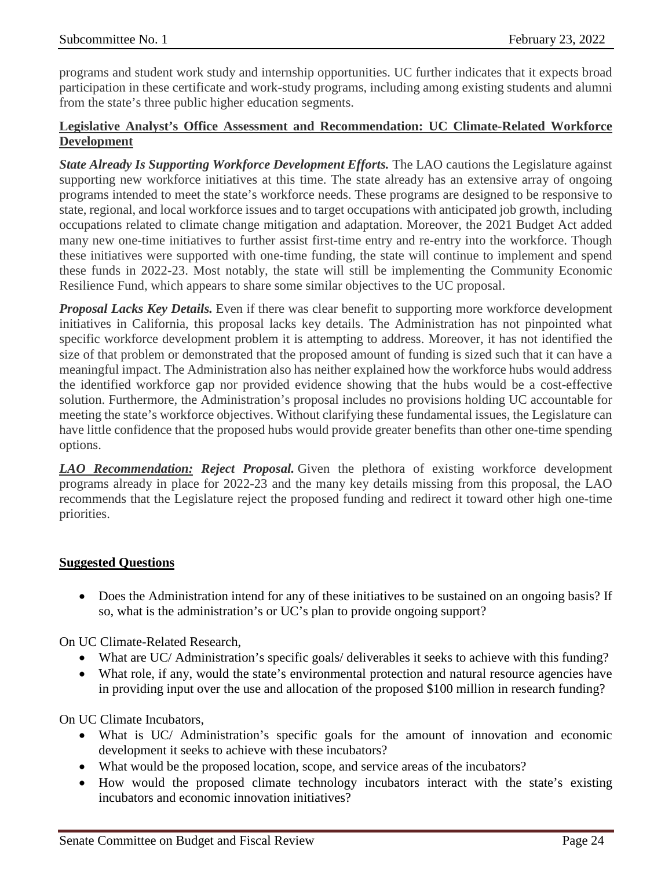programs and student work study and internship opportunities. UC further indicates that it expects broad participation in these certificate and work-study programs, including among existing students and alumni from the state's three public higher education segments.

## **Legislative Analyst's Office Assessment and Recommendation: UC Climate-Related Workforce Development**

*State Already Is Supporting Workforce Development Efforts.* The LAO cautions the Legislature against supporting new workforce initiatives at this time. The state already has an extensive array of ongoing programs intended to meet the state's workforce needs. These programs are designed to be responsive to state, regional, and local workforce issues and to target occupations with anticipated job growth, including occupations related to climate change mitigation and adaptation. Moreover, the 2021 Budget Act added many new one-time initiatives to further assist first-time entry and re-entry into the workforce. Though these initiatives were supported with one-time funding, the state will continue to implement and spend these funds in 2022-23. Most notably, the state will still be implementing the Community Economic Resilience Fund, which appears to share some similar objectives to the UC proposal.

*Proposal Lacks Key Details.* Even if there was clear benefit to supporting more workforce development initiatives in California, this proposal lacks key details. The Administration has not pinpointed what specific workforce development problem it is attempting to address. Moreover, it has not identified the size of that problem or demonstrated that the proposed amount of funding is sized such that it can have a meaningful impact. The Administration also has neither explained how the workforce hubs would address the identified workforce gap nor provided evidence showing that the hubs would be a cost-effective solution. Furthermore, the Administration's proposal includes no provisions holding UC accountable for meeting the state's workforce objectives. Without clarifying these fundamental issues, the Legislature can have little confidence that the proposed hubs would provide greater benefits than other one-time spending options.

*LAO Recommendation: Reject Proposal.* Given the plethora of existing workforce development programs already in place for 2022-23 and the many key details missing from this proposal, the LAO recommends that the Legislature reject the proposed funding and redirect it toward other high one-time priorities.

## **Suggested Questions**

• Does the Administration intend for any of these initiatives to be sustained on an ongoing basis? If so, what is the administration's or UC's plan to provide ongoing support?

On UC Climate-Related Research,

- What are UC/ Administration's specific goals/ deliverables it seeks to achieve with this funding?
- What role, if any, would the state's environmental protection and natural resource agencies have in providing input over the use and allocation of the proposed \$100 million in research funding?

On UC Climate Incubators,

- What is UC/ Administration's specific goals for the amount of innovation and economic development it seeks to achieve with these incubators?
- What would be the proposed location, scope, and service areas of the incubators?
- How would the proposed climate technology incubators interact with the state's existing incubators and economic innovation initiatives?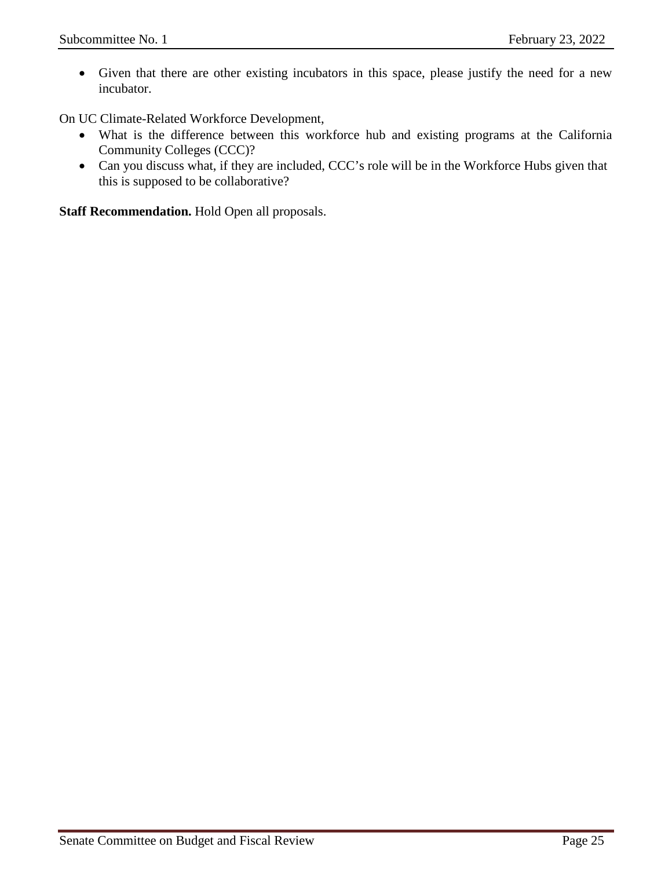• Given that there are other existing incubators in this space, please justify the need for a new incubator.

On UC Climate-Related Workforce Development,

- What is the difference between this workforce hub and existing programs at the California Community Colleges (CCC)?
- Can you discuss what, if they are included, CCC's role will be in the Workforce Hubs given that this is supposed to be collaborative?

**Staff Recommendation.** Hold Open all proposals.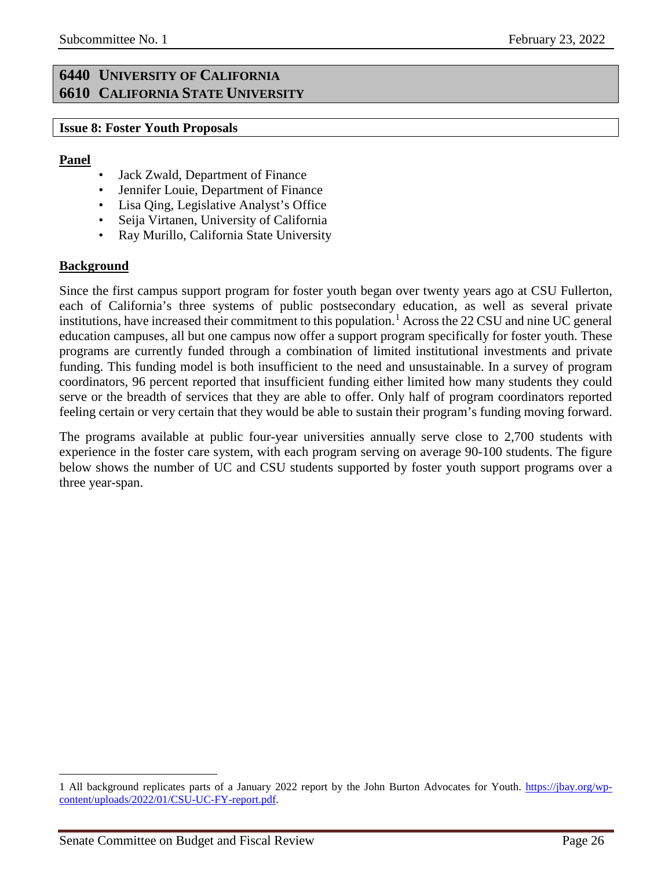## <span id="page-25-1"></span><span id="page-25-0"></span>**6440 UNIVERSITY OF CALIFORNIA 6610 CALIFORNIA STATE UNIVERSITY**

#### <span id="page-25-2"></span>**Issue 8: Foster Youth Proposals**

#### **Panel**

- Jack Zwald, Department of Finance
- Jennifer Louie, Department of Finance
- Lisa Qing, Legislative Analyst's Office
- Seija Virtanen, University of California
- Ray Murillo, California State University

## **Background**

 $\overline{a}$ 

Since the first campus support program for foster youth began over twenty years ago at CSU Fullerton, each of California's three systems of public postsecondary education, as well as several private institutions, have increased their commitment to this population.<sup>[1](#page-25-3)</sup> Across the 22 CSU and nine UC general education campuses, all but one campus now offer a support program specifically for foster youth. These programs are currently funded through a combination of limited institutional investments and private funding. This funding model is both insufficient to the need and unsustainable. In a survey of program coordinators, 96 percent reported that insufficient funding either limited how many students they could serve or the breadth of services that they are able to offer. Only half of program coordinators reported feeling certain or very certain that they would be able to sustain their program's funding moving forward.

The programs available at public four-year universities annually serve close to 2,700 students with experience in the foster care system, with each program serving on average 90-100 students. The figure below shows the number of UC and CSU students supported by foster youth support programs over a three year-span.

<span id="page-25-3"></span><sup>1</sup> All background replicates parts of a January 2022 report by the John Burton Advocates for Youth. [https://jbay.org/wp](https://jbay.org/wp-content/uploads/2022/01/CSU-UC-FY-report.pdf)[content/uploads/2022/01/CSU-UC-FY-report.pdf.](https://jbay.org/wp-content/uploads/2022/01/CSU-UC-FY-report.pdf)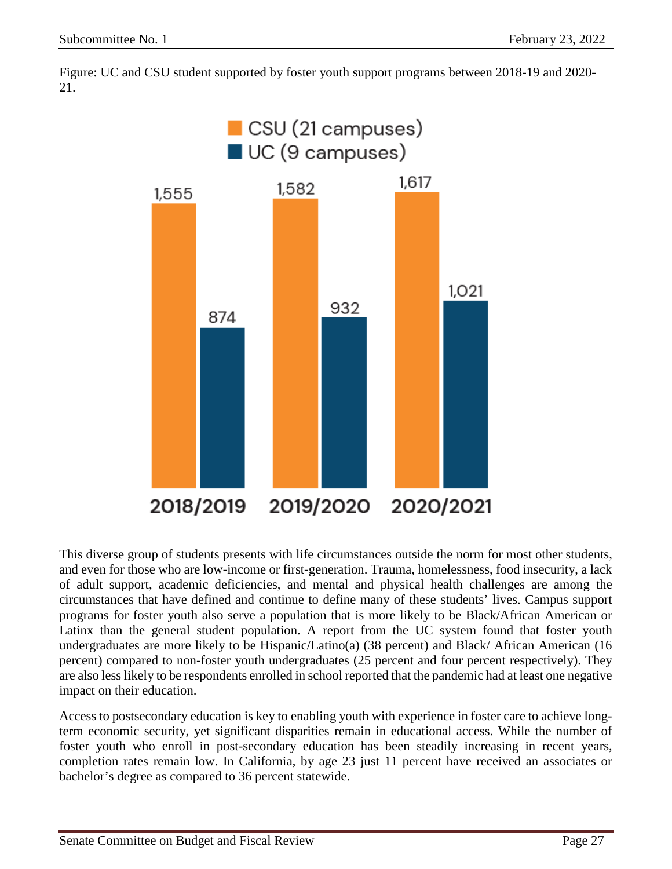Figure: UC and CSU student supported by foster youth support programs between 2018-19 and 2020- 21.



This diverse group of students presents with life circumstances outside the norm for most other students, and even for those who are low-income or first-generation. Trauma, homelessness, food insecurity, a lack of adult support, academic deficiencies, and mental and physical health challenges are among the circumstances that have defined and continue to define many of these students' lives. Campus support programs for foster youth also serve a population that is more likely to be Black/African American or Latinx than the general student population. A report from the UC system found that foster youth undergraduates are more likely to be Hispanic/Latino(a) (38 percent) and Black/ African American (16 percent) compared to non-foster youth undergraduates (25 percent and four percent respectively). They are also less likely to be respondents enrolled in school reported that the pandemic had at least one negative impact on their education.

Access to postsecondary education is key to enabling youth with experience in foster care to achieve longterm economic security, yet significant disparities remain in educational access. While the number of foster youth who enroll in post-secondary education has been steadily increasing in recent years, completion rates remain low. In California, by age 23 just 11 percent have received an associates or bachelor's degree as compared to 36 percent statewide.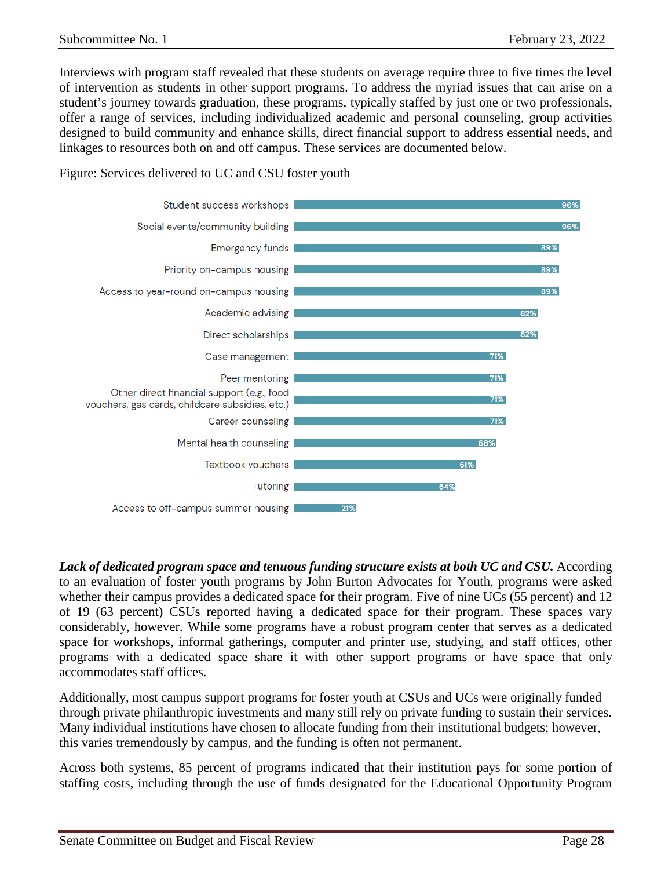Interviews with program staff revealed that these students on average require three to five times the level of intervention as students in other support programs. To address the myriad issues that can arise on a student's journey towards graduation, these programs, typically staffed by just one or two professionals, offer a range of services, including individualized academic and personal counseling, group activities designed to build community and enhance skills, direct financial support to address essential needs, and linkages to resources both on and off campus. These services are documented below.



Figure: Services delivered to UC and CSU foster youth

Lack of dedicated program space and tenuous funding structure exists at both UC and CSU. According to an evaluation of foster youth programs by John Burton Advocates for Youth, programs were asked whether their campus provides a dedicated space for their program. Five of nine UCs (55 percent) and 12 of 19 (63 percent) CSUs reported having a dedicated space for their program. These spaces vary considerably, however. While some programs have a robust program center that serves as a dedicated space for workshops, informal gatherings, computer and printer use, studying, and staff offices, other programs with a dedicated space share it with other support programs or have space that only accommodates staff offices.

Additionally, most campus support programs for foster youth at CSUs and UCs were originally funded through private philanthropic investments and many still rely on private funding to sustain their services. Many individual institutions have chosen to allocate funding from their institutional budgets; however, this varies tremendously by campus, and the funding is often not permanent.

Across both systems, 85 percent of programs indicated that their institution pays for some portion of staffing costs, including through the use of funds designated for the Educational Opportunity Program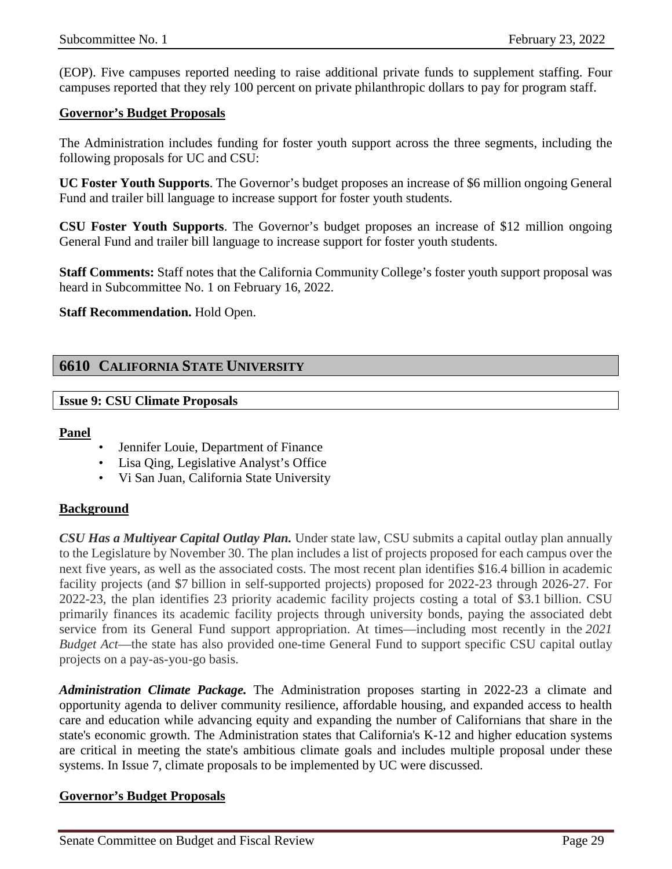(EOP). Five campuses reported needing to raise additional private funds to supplement staffing. Four campuses reported that they rely 100 percent on private philanthropic dollars to pay for program staff.

#### **Governor's Budget Proposals**

The Administration includes funding for foster youth support across the three segments, including the following proposals for UC and CSU:

**UC Foster Youth Supports**. The Governor's budget proposes an increase of \$6 million ongoing General Fund and trailer bill language to increase support for foster youth students.

**CSU Foster Youth Supports**. The Governor's budget proposes an increase of \$12 million ongoing General Fund and trailer bill language to increase support for foster youth students.

**Staff Comments:** Staff notes that the California Community College's foster youth support proposal was heard in Subcommittee No. 1 on February 16, 2022.

#### **Staff Recommendation.** Hold Open.

## <span id="page-28-0"></span>**6610 CALIFORNIA STATE UNIVERSITY**

#### <span id="page-28-1"></span>**Issue 9: CSU Climate Proposals**

#### **Panel**

- Jennifer Louie, Department of Finance
- Lisa Qing, Legislative Analyst's Office
- Vi San Juan, California State University

#### **Background**

*CSU Has a Multiyear Capital Outlay Plan.* Under state law, CSU submits a capital outlay plan annually to the Legislature by November 30. The plan includes a list of projects proposed for each campus over the next five years, as well as the associated costs. The most recent plan identifies \$16.4 billion in academic facility projects (and \$7 billion in self-supported projects) proposed for 2022-23 through 2026-27. For 2022-23, the plan identifies 23 priority academic facility projects costing a total of \$3.1 billion. CSU primarily finances its academic facility projects through university bonds, paying the associated debt service from its General Fund support appropriation. At times—including most recently in the *2021 Budget Act*—the state has also provided one-time General Fund to support specific CSU capital outlay projects on a pay-as-you-go basis.

*Administration Climate Package.* The Administration proposes starting in 2022-23 a climate and opportunity agenda to deliver community resilience, affordable housing, and expanded access to health care and education while advancing equity and expanding the number of Californians that share in the state's economic growth. The Administration states that California's K-12 and higher education systems are critical in meeting the state's ambitious climate goals and includes multiple proposal under these systems. In Issue 7, climate proposals to be implemented by UC were discussed.

#### **Governor's Budget Proposals**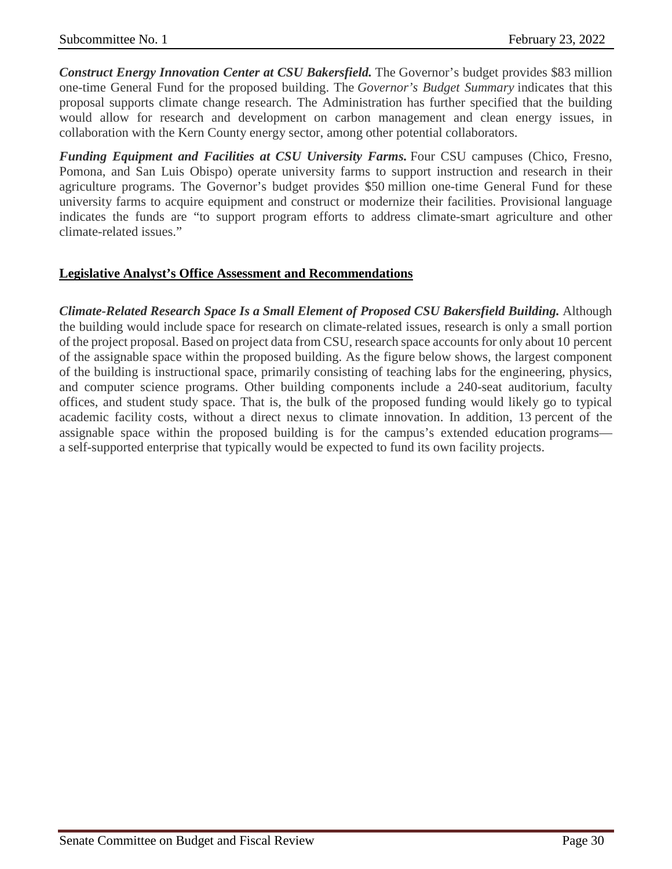*Construct Energy Innovation Center at CSU Bakersfield.* The Governor's budget provides \$83 million one-time General Fund for the proposed building. The *Governor's Budget Summary* indicates that this proposal supports climate change research. The Administration has further specified that the building would allow for research and development on carbon management and clean energy issues, in collaboration with the Kern County energy sector, among other potential collaborators.

*Funding Equipment and Facilities at CSU University Farms.* Four CSU campuses (Chico, Fresno, Pomona, and San Luis Obispo) operate university farms to support instruction and research in their agriculture programs. The Governor's budget provides \$50 million one-time General Fund for these university farms to acquire equipment and construct or modernize their facilities. Provisional language indicates the funds are "to support program efforts to address climate-smart agriculture and other climate-related issues."

## **Legislative Analyst's Office Assessment and Recommendations**

*Climate-Related Research Space Is a Small Element of Proposed CSU Bakersfield Building.* Although the building would include space for research on climate-related issues, research is only a small portion of the project proposal. Based on project data from CSU, research space accounts for only about 10 percent of the assignable space within the proposed building. As the figure below shows, the largest component of the building is instructional space, primarily consisting of teaching labs for the engineering, physics, and computer science programs. Other building components include a 240-seat auditorium, faculty offices, and student study space. That is, the bulk of the proposed funding would likely go to typical academic facility costs, without a direct nexus to climate innovation. In addition, 13 percent of the assignable space within the proposed building is for the campus's extended education programs a self-supported enterprise that typically would be expected to fund its own facility projects.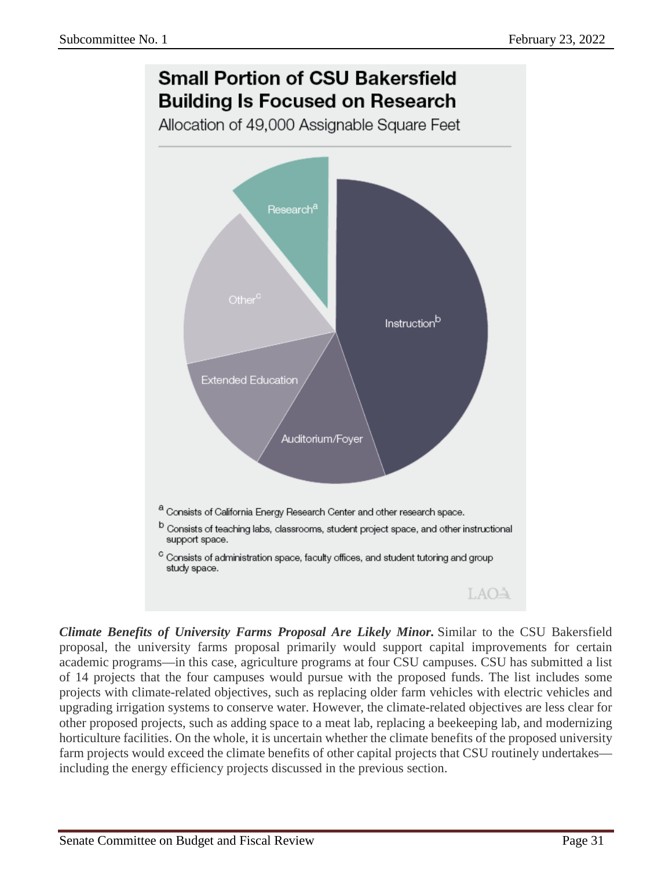

*Climate Benefits of University Farms Proposal Are Likely Minor.* Similar to the CSU Bakersfield proposal, the university farms proposal primarily would support capital improvements for certain academic programs—in this case, agriculture programs at four CSU campuses. CSU has submitted a list of 14 projects that the four campuses would pursue with the proposed funds. The list includes some projects with climate-related objectives, such as replacing older farm vehicles with electric vehicles and upgrading irrigation systems to conserve water. However, the climate-related objectives are less clear for other proposed projects, such as adding space to a meat lab, replacing a beekeeping lab, and modernizing horticulture facilities. On the whole, it is uncertain whether the climate benefits of the proposed university farm projects would exceed the climate benefits of other capital projects that CSU routinely undertakes including the energy efficiency projects discussed in the previous section.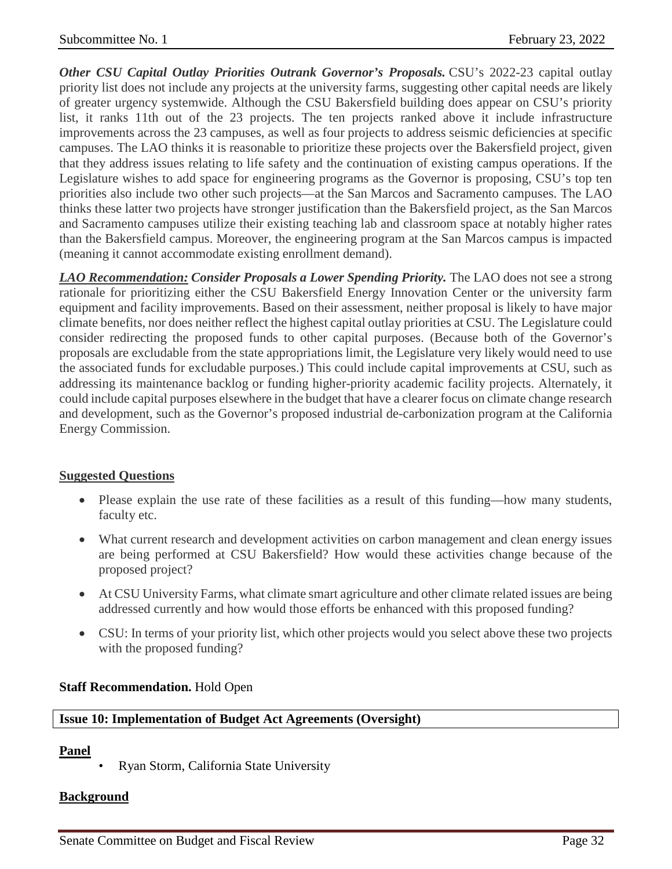*Other CSU Capital Outlay Priorities Outrank Governor's Proposals.* CSU's 2022-23 capital outlay priority list does not include any projects at the university farms, suggesting other capital needs are likely of greater urgency systemwide. Although the CSU Bakersfield building does appear on CSU's priority list, it ranks 11th out of the 23 projects. The ten projects ranked above it include infrastructure improvements across the 23 campuses, as well as four projects to address seismic deficiencies at specific campuses. The LAO thinks it is reasonable to prioritize these projects over the Bakersfield project, given that they address issues relating to life safety and the continuation of existing campus operations. If the Legislature wishes to add space for engineering programs as the Governor is proposing, CSU's top ten priorities also include two other such projects—at the San Marcos and Sacramento campuses. The LAO thinks these latter two projects have stronger justification than the Bakersfield project, as the San Marcos and Sacramento campuses utilize their existing teaching lab and classroom space at notably higher rates than the Bakersfield campus. Moreover, the engineering program at the San Marcos campus is impacted (meaning it cannot accommodate existing enrollment demand).

*LAO Recommendation: Consider Proposals a Lower Spending Priority.* The LAO does not see a strong rationale for prioritizing either the CSU Bakersfield Energy Innovation Center or the university farm equipment and facility improvements. Based on their assessment, neither proposal is likely to have major climate benefits, nor does neither reflect the highest capital outlay priorities at CSU. The Legislature could consider redirecting the proposed funds to other capital purposes. (Because both of the Governor's proposals are excludable from the state appropriations limit, the Legislature very likely would need to use the associated funds for excludable purposes.) This could include capital improvements at CSU, such as addressing its maintenance backlog or funding higher-priority academic facility projects. Alternately, it could include capital purposes elsewhere in the budget that have a clearer focus on climate change research and development, such as the Governor's proposed industrial de-carbonization program at the California Energy Commission.

## **Suggested Questions**

- Please explain the use rate of these facilities as a result of this funding—how many students, faculty etc.
- What current research and development activities on carbon management and clean energy issues are being performed at CSU Bakersfield? How would these activities change because of the proposed project?
- At CSU University Farms, what climate smart agriculture and other climate related issues are being addressed currently and how would those efforts be enhanced with this proposed funding?
- CSU: In terms of your priority list, which other projects would you select above these two projects with the proposed funding?

#### **Staff Recommendation.** Hold Open

#### <span id="page-31-0"></span>**Issue 10: Implementation of Budget Act Agreements (Oversight)**

#### **Panel**

• Ryan Storm, California State University

#### **Background**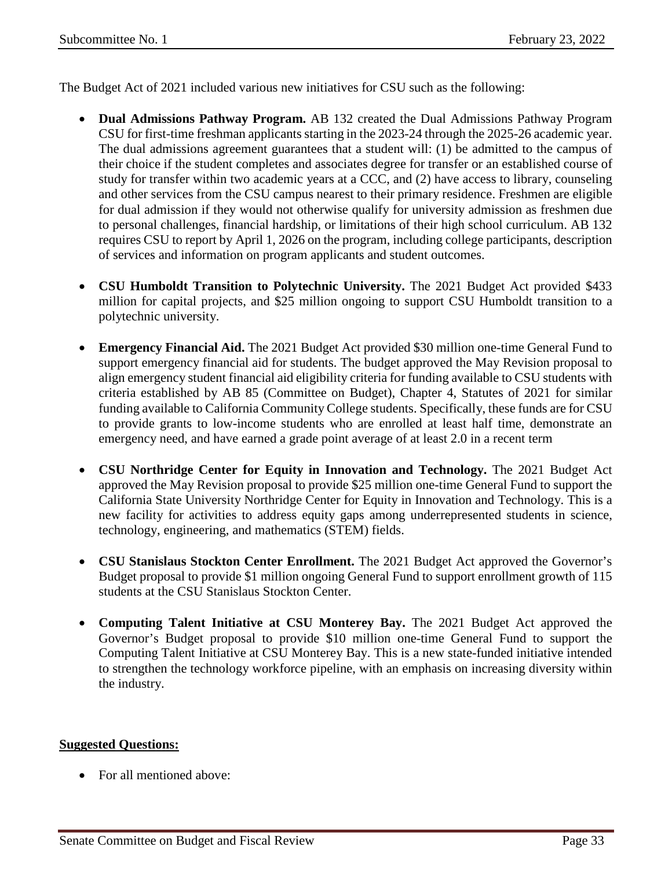The Budget Act of 2021 included various new initiatives for CSU such as the following:

- **Dual Admissions Pathway Program.** AB 132 created the Dual Admissions Pathway Program CSU for first-time freshman applicants starting in the 2023-24 through the 2025-26 academic year. The dual admissions agreement guarantees that a student will: (1) be admitted to the campus of their choice if the student completes and associates degree for transfer or an established course of study for transfer within two academic years at a CCC, and (2) have access to library, counseling and other services from the CSU campus nearest to their primary residence. Freshmen are eligible for dual admission if they would not otherwise qualify for university admission as freshmen due to personal challenges, financial hardship, or limitations of their high school curriculum. AB 132 requires CSU to report by April 1, 2026 on the program, including college participants, description of services and information on program applicants and student outcomes.
- **CSU Humboldt Transition to Polytechnic University.** The 2021 Budget Act provided \$433 million for capital projects, and \$25 million ongoing to support CSU Humboldt transition to a polytechnic university.
- **Emergency Financial Aid.** The 2021 Budget Act provided \$30 million one-time General Fund to support emergency financial aid for students. The budget approved the May Revision proposal to align emergency student financial aid eligibility criteria for funding available to CSU students with criteria established by AB 85 (Committee on Budget), Chapter 4, Statutes of 2021 for similar funding available to California Community College students. Specifically, these funds are for CSU to provide grants to low-income students who are enrolled at least half time, demonstrate an emergency need, and have earned a grade point average of at least 2.0 in a recent term
- **CSU Northridge Center for Equity in Innovation and Technology.** The 2021 Budget Act approved the May Revision proposal to provide \$25 million one-time General Fund to support the California State University Northridge Center for Equity in Innovation and Technology. This is a new facility for activities to address equity gaps among underrepresented students in science, technology, engineering, and mathematics (STEM) fields.
- **CSU Stanislaus Stockton Center Enrollment.** The 2021 Budget Act approved the Governor's Budget proposal to provide \$1 million ongoing General Fund to support enrollment growth of 115 students at the CSU Stanislaus Stockton Center.
- **Computing Talent Initiative at CSU Monterey Bay.** The 2021 Budget Act approved the Governor's Budget proposal to provide \$10 million one-time General Fund to support the Computing Talent Initiative at CSU Monterey Bay. This is a new state-funded initiative intended to strengthen the technology workforce pipeline, with an emphasis on increasing diversity within the industry.

## **Suggested Questions:**

• For all mentioned above: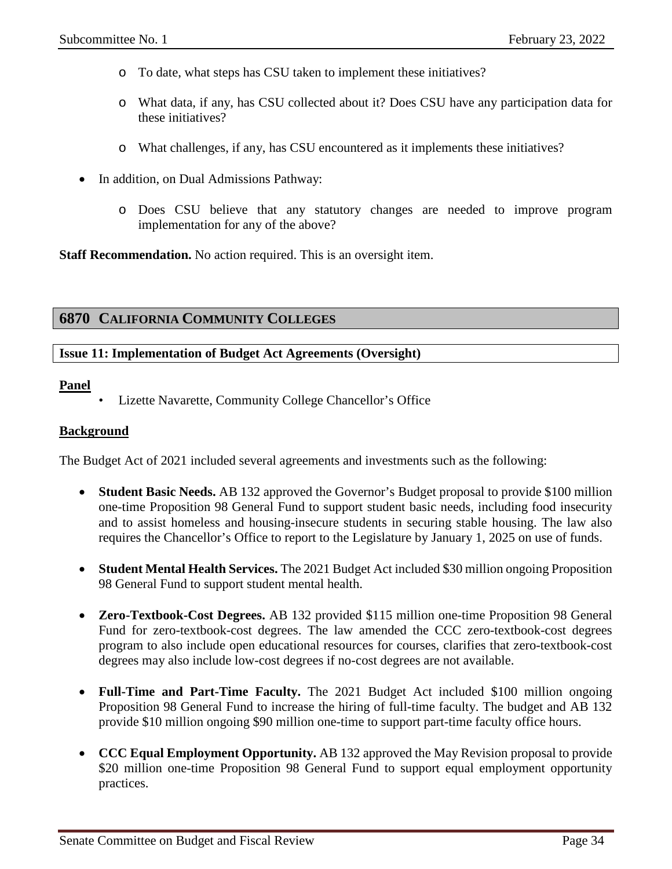- o To date, what steps has CSU taken to implement these initiatives?
- o What data, if any, has CSU collected about it? Does CSU have any participation data for these initiatives?
- o What challenges, if any, has CSU encountered as it implements these initiatives?
- In addition, on Dual Admissions Pathway:
	- o Does CSU believe that any statutory changes are needed to improve program implementation for any of the above?

**Staff Recommendation.** No action required. This is an oversight item.

## <span id="page-33-0"></span>**6870 CALIFORNIA COMMUNITY COLLEGES**

## <span id="page-33-1"></span>**Issue 11: Implementation of Budget Act Agreements (Oversight)**

#### **Panel**

• Lizette Navarette, Community College Chancellor's Office

#### **Background**

The Budget Act of 2021 included several agreements and investments such as the following:

- **Student Basic Needs.** AB 132 approved the Governor's Budget proposal to provide \$100 million one-time Proposition 98 General Fund to support student basic needs, including food insecurity and to assist homeless and housing-insecure students in securing stable housing. The law also requires the Chancellor's Office to report to the Legislature by January 1, 2025 on use of funds.
- **Student Mental Health Services.** The 2021 Budget Act included \$30 million ongoing Proposition 98 General Fund to support student mental health.
- **Zero-Textbook-Cost Degrees.** AB 132 provided \$115 million one-time Proposition 98 General Fund for zero-textbook-cost degrees. The law amended the CCC zero-textbook-cost degrees program to also include open educational resources for courses, clarifies that zero-textbook-cost degrees may also include low-cost degrees if no-cost degrees are not available.
- **Full-Time and Part-Time Faculty.** The 2021 Budget Act included \$100 million ongoing Proposition 98 General Fund to increase the hiring of full-time faculty. The budget and AB 132 provide \$10 million ongoing \$90 million one-time to support part-time faculty office hours.
- **CCC Equal Employment Opportunity.** AB 132 approved the May Revision proposal to provide \$20 million one-time Proposition 98 General Fund to support equal employment opportunity practices.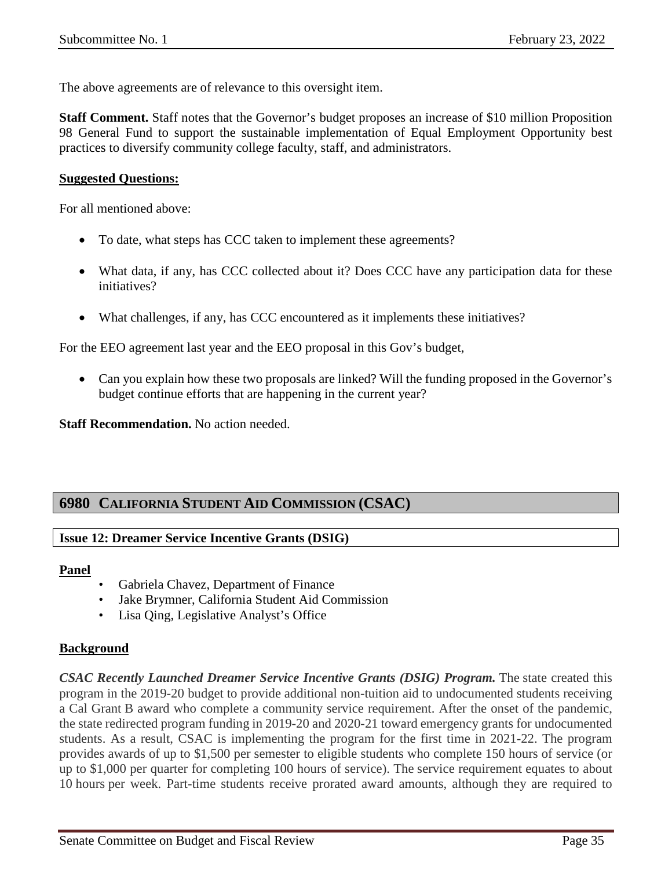The above agreements are of relevance to this oversight item.

**Staff Comment.** Staff notes that the Governor's budget proposes an increase of \$10 million Proposition 98 General Fund to support the sustainable implementation of Equal Employment Opportunity best practices to diversify community college faculty, staff, and administrators.

#### **Suggested Questions:**

For all mentioned above:

- To date, what steps has CCC taken to implement these agreements?
- What data, if any, has CCC collected about it? Does CCC have any participation data for these initiatives?
- What challenges, if any, has CCC encountered as it implements these initiatives?

For the EEO agreement last year and the EEO proposal in this Gov's budget,

• Can you explain how these two proposals are linked? Will the funding proposed in the Governor's budget continue efforts that are happening in the current year?

**Staff Recommendation.** No action needed.

## <span id="page-34-0"></span>**6980 CALIFORNIA STUDENT AID COMMISSION (CSAC)**

#### <span id="page-34-1"></span>**Issue 12: Dreamer Service Incentive Grants (DSIG)**

#### **Panel**

- Gabriela Chavez, Department of Finance
- Jake Brymner, California Student Aid Commission
- Lisa Qing, Legislative Analyst's Office

#### **Background**

*CSAC Recently Launched Dreamer Service Incentive Grants (DSIG) Program.* The state created this program in the 2019-20 budget to provide additional non-tuition aid to undocumented students receiving a Cal Grant B award who complete a community service requirement. After the onset of the pandemic, the state redirected program funding in 2019-20 and 2020-21 toward emergency grants for undocumented students. As a result, CSAC is implementing the program for the first time in 2021-22. The program provides awards of up to \$1,500 per semester to eligible students who complete 150 hours of service (or up to \$1,000 per quarter for completing 100 hours of service). The service requirement equates to about 10 hours per week. Part-time students receive prorated award amounts, although they are required to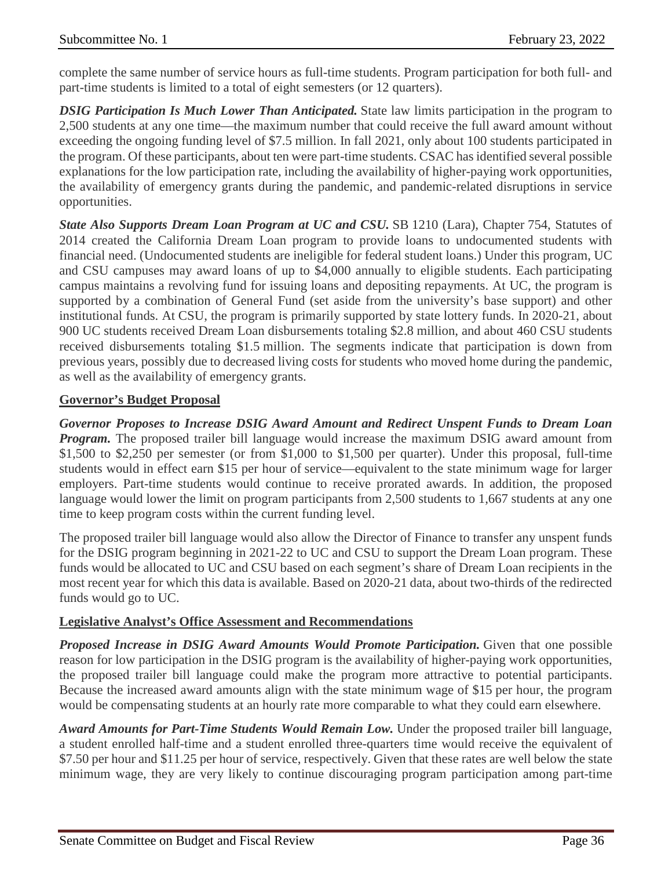complete the same number of service hours as full-time students. Program participation for both full- and part-time students is limited to a total of eight semesters (or 12 quarters).

*DSIG Participation Is Much Lower Than Anticipated.* State law limits participation in the program to 2,500 students at any one time—the maximum number that could receive the full award amount without exceeding the ongoing funding level of \$7.5 million. In fall 2021, only about 100 students participated in the program. Of these participants, about ten were part-time students. CSAC has identified several possible explanations for the low participation rate, including the availability of higher-paying work opportunities, the availability of emergency grants during the pandemic, and pandemic-related disruptions in service opportunities.

*State Also Supports Dream Loan Program at UC and CSU.* SB 1210 (Lara), Chapter 754, Statutes of 2014 created the California Dream Loan program to provide loans to undocumented students with financial need. (Undocumented students are ineligible for federal student loans.) Under this program, UC and CSU campuses may award loans of up to \$4,000 annually to eligible students. Each participating campus maintains a revolving fund for issuing loans and depositing repayments. At UC, the program is supported by a combination of General Fund (set aside from the university's base support) and other institutional funds. At CSU, the program is primarily supported by state lottery funds. In 2020-21, about 900 UC students received Dream Loan disbursements totaling \$2.8 million, and about 460 CSU students received disbursements totaling \$1.5 million. The segments indicate that participation is down from previous years, possibly due to decreased living costs for students who moved home during the pandemic, as well as the availability of emergency grants.

## **Governor's Budget Proposal**

*Governor Proposes to Increase DSIG Award Amount and Redirect Unspent Funds to Dream Loan Program.* The proposed trailer bill language would increase the maximum DSIG award amount from \$1,500 to \$2,250 per semester (or from \$1,000 to \$1,500 per quarter). Under this proposal, full-time students would in effect earn \$15 per hour of service—equivalent to the state minimum wage for larger employers. Part-time students would continue to receive prorated awards. In addition, the proposed language would lower the limit on program participants from 2,500 students to 1,667 students at any one time to keep program costs within the current funding level.

The proposed trailer bill language would also allow the Director of Finance to transfer any unspent funds for the DSIG program beginning in 2021-22 to UC and CSU to support the Dream Loan program. These funds would be allocated to UC and CSU based on each segment's share of Dream Loan recipients in the most recent year for which this data is available. Based on 2020-21 data, about two-thirds of the redirected funds would go to UC.

#### **Legislative Analyst's Office Assessment and Recommendations**

*Proposed Increase in DSIG Award Amounts Would Promote Participation.* Given that one possible reason for low participation in the DSIG program is the availability of higher-paying work opportunities, the proposed trailer bill language could make the program more attractive to potential participants. Because the increased award amounts align with the state minimum wage of \$15 per hour, the program would be compensating students at an hourly rate more comparable to what they could earn elsewhere.

*Award Amounts for Part-Time Students Would Remain Low.* Under the proposed trailer bill language, a student enrolled half-time and a student enrolled three-quarters time would receive the equivalent of \$7.50 per hour and \$11.25 per hour of service, respectively. Given that these rates are well below the state minimum wage, they are very likely to continue discouraging program participation among part-time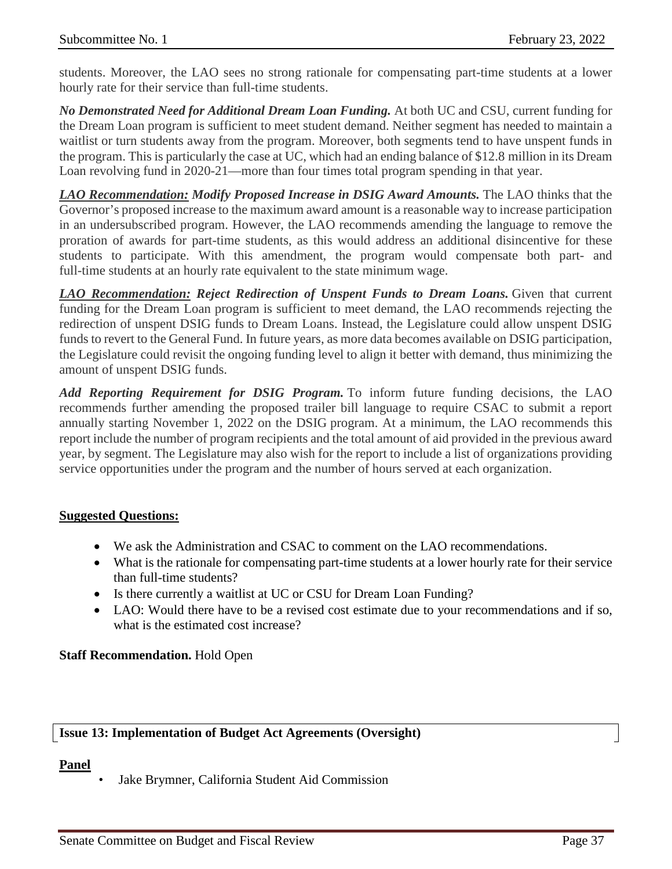students. Moreover, the LAO sees no strong rationale for compensating part-time students at a lower hourly rate for their service than full-time students.

*No Demonstrated Need for Additional Dream Loan Funding.* At both UC and CSU, current funding for the Dream Loan program is sufficient to meet student demand. Neither segment has needed to maintain a waitlist or turn students away from the program. Moreover, both segments tend to have unspent funds in the program. This is particularly the case at UC, which had an ending balance of \$12.8 million in its Dream Loan revolving fund in 2020-21—more than four times total program spending in that year.

*LAO Recommendation: Modify Proposed Increase in DSIG Award Amounts.* The LAO thinks that the Governor's proposed increase to the maximum award amount is a reasonable way to increase participation in an undersubscribed program. However, the LAO recommends amending the language to remove the proration of awards for part-time students, as this would address an additional disincentive for these students to participate. With this amendment, the program would compensate both part- and full-time students at an hourly rate equivalent to the state minimum wage.

*LAO Recommendation: Reject Redirection of Unspent Funds to Dream Loans.* Given that current funding for the Dream Loan program is sufficient to meet demand, the LAO recommends rejecting the redirection of unspent DSIG funds to Dream Loans. Instead, the Legislature could allow unspent DSIG funds to revert to the General Fund. In future years, as more data becomes available on DSIG participation, the Legislature could revisit the ongoing funding level to align it better with demand, thus minimizing the amount of unspent DSIG funds.

*Add Reporting Requirement for DSIG Program.* To inform future funding decisions, the LAO recommends further amending the proposed trailer bill language to require CSAC to submit a report annually starting November 1, 2022 on the DSIG program. At a minimum, the LAO recommends this report include the number of program recipients and the total amount of aid provided in the previous award year, by segment. The Legislature may also wish for the report to include a list of organizations providing service opportunities under the program and the number of hours served at each organization.

#### **Suggested Questions:**

- We ask the Administration and CSAC to comment on the LAO recommendations.
- What is the rationale for compensating part-time students at a lower hourly rate for their service than full-time students?
- Is there currently a waitlist at UC or CSU for Dream Loan Funding?
- LAO: Would there have to be a revised cost estimate due to your recommendations and if so, what is the estimated cost increase?

## **Staff Recommendation.** Hold Open

## <span id="page-36-0"></span>**Issue 13: Implementation of Budget Act Agreements (Oversight)**

#### **Panel**

• Jake Brymner, California Student Aid Commission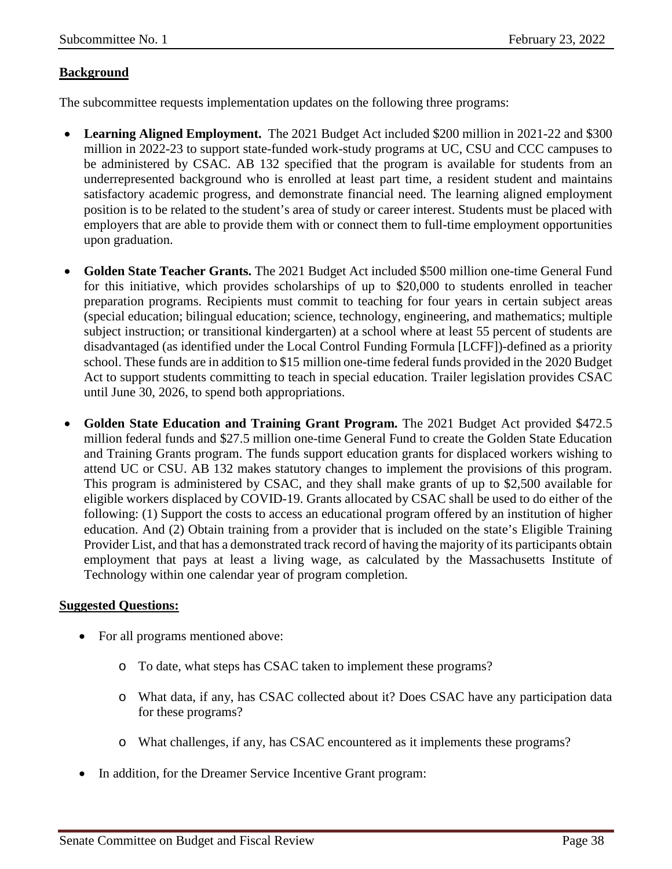## **Background**

The subcommittee requests implementation updates on the following three programs:

- **Learning Aligned Employment.** The 2021 Budget Act included \$200 million in 2021-22 and \$300 million in 2022-23 to support state-funded work-study programs at UC, CSU and CCC campuses to be administered by CSAC. AB 132 specified that the program is available for students from an underrepresented background who is enrolled at least part time, a resident student and maintains satisfactory academic progress, and demonstrate financial need. The learning aligned employment position is to be related to the student's area of study or career interest. Students must be placed with employers that are able to provide them with or connect them to full-time employment opportunities upon graduation.
- **Golden State Teacher Grants.** The 2021 Budget Act included \$500 million one-time General Fund for this initiative, which provides scholarships of up to \$20,000 to students enrolled in teacher preparation programs. Recipients must commit to teaching for four years in certain subject areas (special education; bilingual education; science, technology, engineering, and mathematics; multiple subject instruction; or transitional kindergarten) at a school where at least 55 percent of students are disadvantaged (as identified under the Local Control Funding Formula [LCFF])-defined as a priority school. These funds are in addition to \$15 million one-time federal funds provided in the 2020 Budget Act to support students committing to teach in special education. Trailer legislation provides CSAC until June 30, 2026, to spend both appropriations.
- **Golden State Education and Training Grant Program.** The 2021 Budget Act provided \$472.5 million federal funds and \$27.5 million one-time General Fund to create the Golden State Education and Training Grants program. The funds support education grants for displaced workers wishing to attend UC or CSU. AB 132 makes statutory changes to implement the provisions of this program. This program is administered by CSAC, and they shall make grants of up to \$2,500 available for eligible workers displaced by COVID-19. Grants allocated by CSAC shall be used to do either of the following: (1) Support the costs to access an educational program offered by an institution of higher education. And (2) Obtain training from a provider that is included on the state's Eligible Training Provider List, and that has a demonstrated track record of having the majority of its participants obtain employment that pays at least a living wage, as calculated by the Massachusetts Institute of Technology within one calendar year of program completion.

#### **Suggested Questions:**

- For all programs mentioned above:
	- o To date, what steps has CSAC taken to implement these programs?
	- o What data, if any, has CSAC collected about it? Does CSAC have any participation data for these programs?
	- o What challenges, if any, has CSAC encountered as it implements these programs?
- In addition, for the Dreamer Service Incentive Grant program: